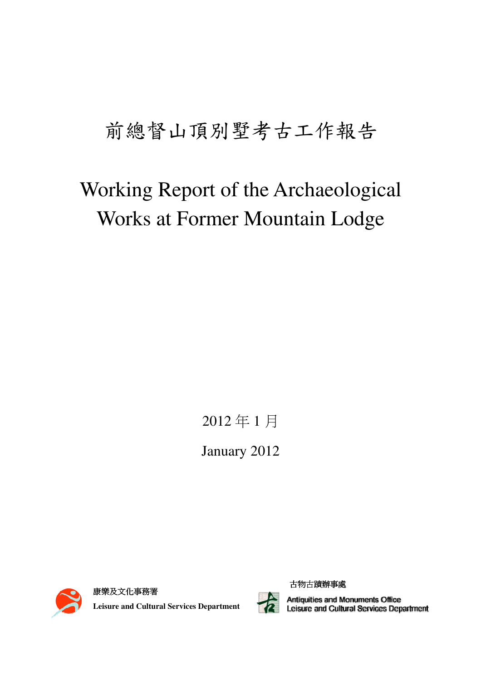# 前總督山頂別墅考古工作報告

# Working Report of the Archaeological Works at Former Mountain Lodge

2012 年 1 月

January 2012



康樂及文化事務署 **Leisure and Cultural Services Department** 



古物古蹟辦事處

Antiquities and Monuments Office<br>Leisure and Cultural Services Department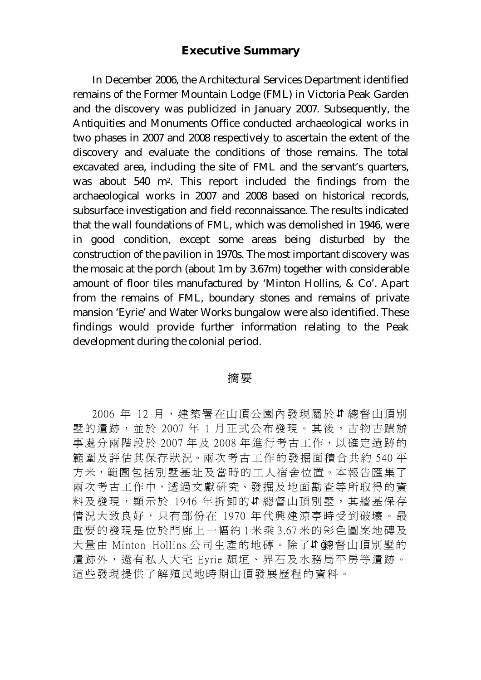## **Executive Summary**

In December 2006, the Architectural Services Department identified remains of the Former Mountain Lodge (FML) in Victoria Peak Garden and the discovery was publicized in January 2007. Subsequently, the Antiquities and Monuments Office conducted archaeological works in two phases in 2007 and 2008 respectively to ascertain the extent of the discovery and evaluate the conditions of those remains. The total excavated area, including the site of FML and the servant's quarters, was about 540 m2. This report included the findings from the archaeological works in 2007 and 2008 based on historical records, subsurface investigation and field reconnaissance. The results indicated that the wall foundations of FML, which was demolished in 1946, were in good condition, except some areas being disturbed by the construction of the pavilion in 1970s. The most important discovery was the mosaic at the porch (about 1m by 3.67m) together with considerable amount of floor tiles manufactured by 'Minton Hollins, & Co'. Apart from the remains of FML, boundary stones and remains of private mansion 'Eyrie' and Water Works bungalow were also identified. These findings would provide further information relating to the Peak development during the colonial period.

#### 摘 要

2006年 12 月, 建築署在山頂公園內發現屬於 總督山頂別 墅的遺跡,並於 2007 年 1 月正式公布發現。其後,古物古蹟辦 事處分兩階段於 2007 年及 2008 年進行考古工作,以確定遺跡的 範圍及評估其保存狀況。兩次考古工作的發掘面積合共約 540 平 方米,範圍包括別墅基址及當時的工人宿舍位置。本報告匯集了 兩次考古工作中,透過文獻研究、發掘及地面勘查等所取得的資 料及發現,顯示於 1946年拆卸的 總督山頂別墅,其牆基保存 情況大致良好,只有部份在 1970 年代興建涼亭時受到破壞。最 重要的發現是位於門廊上一幅約 1 米乘 3.67 米的彩色圖案地磚及 大量由 Minton Hollins 公司生產的地磚。除了 總督山頂別墅的 遺跡外,還有私人大宅 Eyrie 頹垣、界石及水務局平房等遺跡。 這些發現提供了解殖民地時期山頂發展歷程的資料。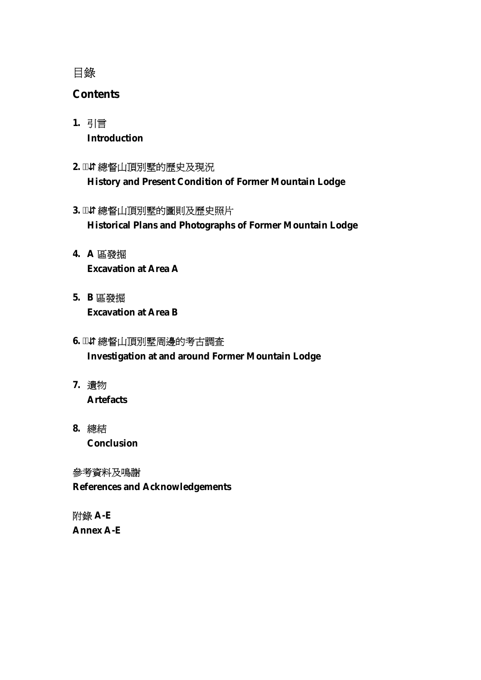# 目錄

# **Contents**

- **1.** 引言 **Introduction**
- **2.** ⇵總督山頂別墅的歷史及現況 **History and Present Condition of Former Mountain Lodge**
- 3. ¨ 總督山頂別墅的圖則及歷史照片 **Historical Plans and Photographs of Former Mountain Lodge**
- **4. A** 區發掘 **Excavation at Area A**
- **5. B** 區發掘 **Excavation at Area B**
- 6. ™ 總督山頂別墅周邊的考古調査 **Investigation at and around Former Mountain Lodge**
- **7.** 遺物 **Artefacts**
- **8.** 總結  **Conclusion**

參考資料及鳴謝 **References and Acknowledgements** 

附錄 **A-E Annex A-E**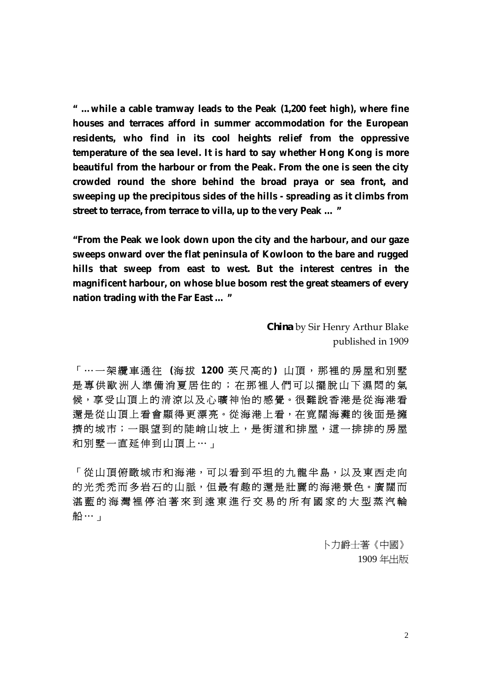**" …while a cable tramway leads to the Peak (1,200 feet high), where fine houses and terraces afford in summer accommodation for the European residents, who find in its cool heights relief from the oppressive temperature of the sea level. It is hard to say whether Hong Kong is more beautiful from the harbour or from the Peak. From the one is seen the city crowded round the shore behind the broad praya or sea front, and sweeping up the precipitous sides of the hills - spreading as it climbs from street to terrace, from terrace to villa, up to the very Peak … "** 

**"From the Peak we look down upon the city and the harbour, and our gaze sweeps onward over the flat peninsula of Kowloon to the bare and rugged hills that sweep from east to west. But the interest centres in the magnificent harbour, on whose blue bosom rest the great steamers of every nation trading with the Far East … "** 

> *China* by Sir Henry Arthur Blake published in 1909

「⋯一架纜 車 通 往 **(**海 拔 **1200** 英尺高的 **)** 山頂,那裡的房屋和別墅 是專供歐洲人準備消夏居住的;在那裡人們可以擺脫山下濕悶的氣 候,享受山頂上的清涼以及心曠神怡的感覺。很難說香港是從海港看 還是從山頂上看會顯得更漂亮。從海港上看,在寬闊海灘的後面是擁 擠的城市;一眼望到的陡峭山坡上,是街道和排屋,這一排排的房屋 和別墅一直延伸到山頂上⋯」

「從山頂俯瞰城市和海港,可以看到平坦的九龍半島,以及東西走向 的光禿禿而多岩石的山脈,但最有趣的還是壯麗的海港景色。廣闊而 湛藍的海灣裡停泊著來到遠東進行交易的所有國家的大型蒸汽輪 船⋯」

> 卜力爵士著《中國》 1909 年出版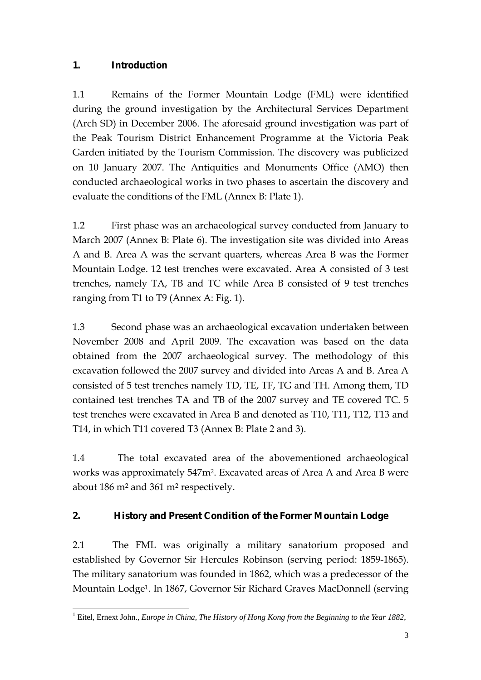# **1. Introduction**

1.1 Remains of the Former Mountain Lodge (FML) were identified during the ground investigation by the Architectural Services Department (Arch SD) in December 2006. The aforesaid ground investigation was part of the Peak Tourism District Enhancement Programme at the Victoria Peak Garden initiated by the Tourism Commission. The discovery was publicized on 10 January 2007. The Antiquities and Monuments Office (AMO) then conducted archaeological works in two phases to ascertain the discovery and evaluate the conditions of the FML (Annex B: Plate 1).

1.2 First phase was an archaeological survey conducted from January to March 2007 (Annex B: Plate 6). The investigation site was divided into Areas A and B. Area A was the servant quarters, whereas Area B was the Former Mountain Lodge. 12 test trenches were excavated. Area A consisted of 3 test trenches, namely TA, TB and TC while Area B consisted of 9 test trenches ranging from T1 to T9 (Annex A: Fig. 1).

1.3 Second phase was an archaeological excavation undertaken between November 2008 and April 2009. The excavation was based on the data obtained from the 2007 archaeological survey. The methodology of this excavation followed the 2007 survey and divided into Areas A and B. Area A consisted of 5 test trenches namely TD, TE, TF, TG and TH. Among them, TD contained test trenches TA and TB of the 2007 survey and TE covered TC. 5 test trenches were excavated in Area B and denoted as T10, T11, T12, T13 and T14, in which T11 covered T3 (Annex B: Plate 2 and 3).

1.4 The total excavated area of the abovementioned archaeological works was approximately 547m2. Excavated areas of Area A and Area B were about 186 m2 and 361 m2 respectively.

# **2. History and Present Condition of the Former Mountain Lodge**

2.1 The FML was originally a military sanatorium proposed and established by Governor Sir Hercules Robinson (serving period: 1859-1865). The military sanatorium was founded in 1862, which was a predecessor of the Mountain Lodge1. In 1867, Governor Sir Richard Graves MacDonnell (serving

 1 Eitel, Ernext John., *Europe in China, The History of Hong Kong from the Beginning to the Year 1882*,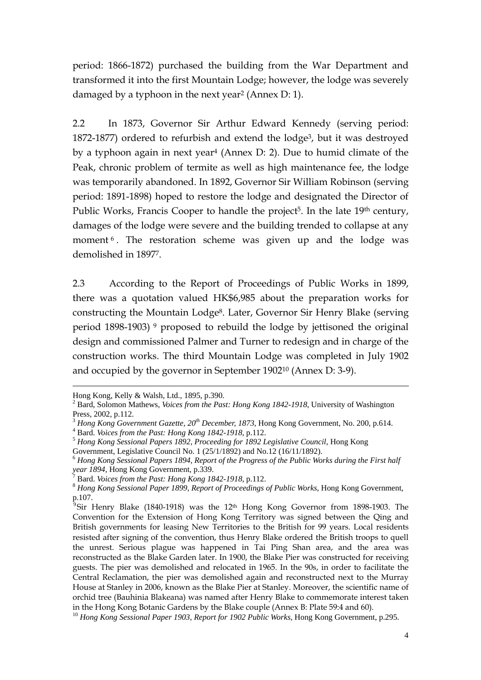period: 1866-1872) purchased the building from the War Department and transformed it into the first Mountain Lodge; however, the lodge was severely damaged by a typhoon in the next year2 (Annex D: 1).

2.2 In 1873, Governor Sir Arthur Edward Kennedy (serving period: 1872-1877) ordered to refurbish and extend the lodge3, but it was destroyed by a typhoon again in next year4 (Annex D: 2). Due to humid climate of the Peak, chronic problem of termite as well as high maintenance fee, the lodge was temporarily abandoned. In 1892, Governor Sir William Robinson (serving period: 1891-1898) hoped to restore the lodge and designated the Director of Public Works, Francis Cooper to handle the project<sup>5</sup>. In the late 19<sup>th</sup> century, damages of the lodge were severe and the building trended to collapse at any moment<sup>6</sup>. The restoration scheme was given up and the lodge was demolished in 18977.

2.3 According to the Report of Proceedings of Public Works in 1899, there was a quotation valued HK\$6,985 about the preparation works for constructing the Mountain Lodge8. Later, Governor Sir Henry Blake (serving period 1898-1903) 9 proposed to rebuild the lodge by jettisoned the original design and commissioned Palmer and Turner to redesign and in charge of the construction works. The third Mountain Lodge was completed in July 1902 and occupied by the governor in September 190210 (Annex D: 3-9).

Hong Kong, Kelly & Walsh, Ltd., 1895, p.390.

<sup>2</sup> Bard, Solomon Mathews, *Voices from the Past: Hong Kong 1842-1918*, University of Washington Press, 2002, p.112.

<sup>&</sup>lt;sup>3</sup> *Hong Kong Government Gazette, 20<sup>th</sup> December, 1873*, Hong Kong Government, No. 200, p.614. <sup>4</sup> Bard. *Voices from the Past: Hong Kong 1842-1918*, p.112.

<sup>&</sup>lt;sup>5</sup> Hong Kong Sessional Papers 1892, Proceeding for 1892 Legislative Council, Hong Kong

Government, Legislative Council No. 1 (25/1/1892) and No.12 (16/11/1892).

<sup>6</sup> *Hong Kong Sessional Papers 1894, Report of the Progress of the Public Works during the First half year 1894*, Hong Kong Government, p.339.<br><sup>7</sup> Bard. *Voices from the Past: Hong Kong 1842-1918*, p.112.

 $8$  Hong Kong Sessional Paper 1899, Report of Proceedings of Public Works, Hong Kong Government, p.107.

<sup>&</sup>lt;sup>9</sup>Sir Henry Blake (1840-1918) was the 12<sup>th</sup> Hong Kong Governor from 1898-1903. The Convention for the Extension of Hong Kong Territory was signed between the Qing and British governments for leasing New Territories to the British for 99 years. Local residents resisted after signing of the convention, thus Henry Blake ordered the British troops to quell the unrest. Serious plague was happened in Tai Ping Shan area, and the area was reconstructed as the Blake Garden later. In 1900, the Blake Pier was constructed for receiving guests. The pier was demolished and relocated in 1965. In the 90s, in order to facilitate the Central Reclamation, the pier was demolished again and reconstructed next to the Murray House at Stanley in 2006, known as the Blake Pier at Stanley. Moreover, the scientific name of orchid tree (Bauhinia Blakeana) was named after Henry Blake to commemorate interest taken

in the Hong Kong Botanic Gardens by the Blake couple (Annex B: Plate 59:4 and 60). <sup>10</sup> *Hong Kong Sessional Paper 1903, Report for 1902 Public Works*, Hong Kong Government, p.295.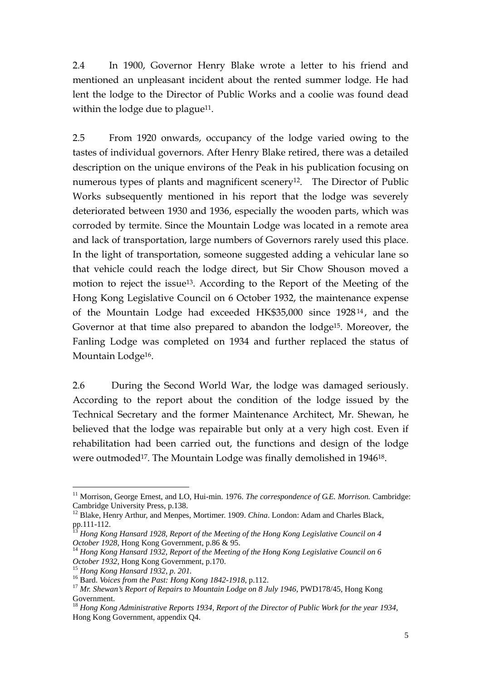2.4 In 1900, Governor Henry Blake wrote a letter to his friend and mentioned an unpleasant incident about the rented summer lodge. He had lent the lodge to the Director of Public Works and a coolie was found dead within the lodge due to plague<sup>11</sup>.

2.5 From 1920 onwards, occupancy of the lodge varied owing to the tastes of individual governors. After Henry Blake retired, there was a detailed description on the unique environs of the Peak in his publication focusing on numerous types of plants and magnificent scenery<sup>12</sup>. The Director of Public Works subsequently mentioned in his report that the lodge was severely deteriorated between 1930 and 1936, especially the wooden parts, which was corroded by termite. Since the Mountain Lodge was located in a remote area and lack of transportation, large numbers of Governors rarely used this place. In the light of transportation, someone suggested adding a vehicular lane so that vehicle could reach the lodge direct, but Sir Chow Shouson moved a motion to reject the issue<sup>13</sup>. According to the Report of the Meeting of the Hong Kong Legislative Council on 6 October 1932, the maintenance expense of the Mountain Lodge had exceeded HK\$35,000 since 192814 , and the Governor at that time also prepared to abandon the lodge15. Moreover, the Fanling Lodge was completed on 1934 and further replaced the status of Mountain Lodge<sup>16</sup>.

2.6 During the Second World War, the lodge was damaged seriously. According to the report about the condition of the lodge issued by the Technical Secretary and the former Maintenance Architect, Mr. Shewan, he believed that the lodge was repairable but only at a very high cost. Even if rehabilitation had been carried out, the functions and design of the lodge were outmoded<sup>17</sup>. The Mountain Lodge was finally demolished in 1946<sup>18</sup>.

 $\overline{a}$ 

<sup>&</sup>lt;sup>11</sup> Morrison, George Ernest, and LO, Hui-min. 1976. *The correspondence of G.E. Morrison*. Cambridge: Cambridge University Press, p.138.

<sup>&</sup>lt;sup>12</sup> Blake, Henry Arthur, and Menpes, Mortimer. 1909. *China*. London: Adam and Charles Black, pp.111-112.

<sup>&</sup>lt;sup>13</sup> Hong Kong Hansard 1928, Report of the Meeting of the Hong Kong Legislative Council on 4 *October 1928*, Hong Kong Government, p.86 & 95.<br><sup>14</sup> *Hong Kong Hansard 1932, Report of the Meeting of the Hong Kong Legislative Council on 6* 

October 1932, Hong Kong Government, p.170.<br><sup>15</sup> Hong Kong Hansard 1932, p. 201.<br><sup>16</sup> Bard. *Voices from the Past: Hong Kong 1842-1918*, p.112.<br><sup>17</sup> Mr. Shewan's Report of Repairs to Mountain Lodge on 8 July 1946, PWD178/45

Government.

<sup>18</sup> *Hong Kong Administrative Reports 1934, Report of the Director of Public Work for the year 1934*, Hong Kong Government, appendix Q4.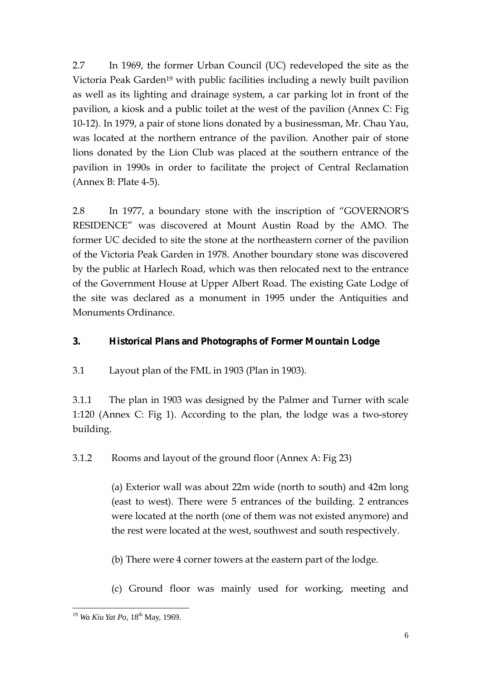2.7 In 1969, the former Urban Council (UC) redeveloped the site as the Victoria Peak Garden<sup>19</sup> with public facilities including a newly built pavilion as well as its lighting and drainage system, a car parking lot in front of the pavilion, a kiosk and a public toilet at the west of the pavilion (Annex C: Fig 10-12). In 1979, a pair of stone lions donated by a businessman, Mr. Chau Yau, was located at the northern entrance of the pavilion. Another pair of stone lions donated by the Lion Club was placed at the southern entrance of the pavilion in 1990s in order to facilitate the project of Central Reclamation (Annex B: Plate 4-5).

2.8 In 1977, a boundary stone with the inscription of "GOVERNOR'S RESIDENCE" was discovered at Mount Austin Road by the AMO. The former UC decided to site the stone at the northeastern corner of the pavilion of the Victoria Peak Garden in 1978. Another boundary stone was discovered by the public at Harlech Road, which was then relocated next to the entrance of the Government House at Upper Albert Road. The existing Gate Lodge of the site was declared as a monument in 1995 under the Antiquities and Monuments Ordinance.

## **3. Historical Plans and Photographs of Former Mountain Lodge**

3.1 Layout plan of the FML in 1903 (Plan in 1903).

3.1.1 The plan in 1903 was designed by the Palmer and Turner with scale 1:120 (Annex C: Fig 1). According to the plan, the lodge was a two-storey building.

3.1.2 Rooms and layout of the ground floor (Annex A: Fig 23)

(a) Exterior wall was about 22m wide (north to south) and 42m long (east to west). There were 5 entrances of the building. 2 entrances were located at the north (one of them was not existed anymore) and the rest were located at the west, southwest and south respectively.

(b) There were 4 corner towers at the eastern part of the lodge.

(c) Ground floor was mainly used for working, meeting and

 $\overline{a}$ <sup>19</sup> *Wa Kiu Yat Po*, 18<sup>th</sup> May, 1969.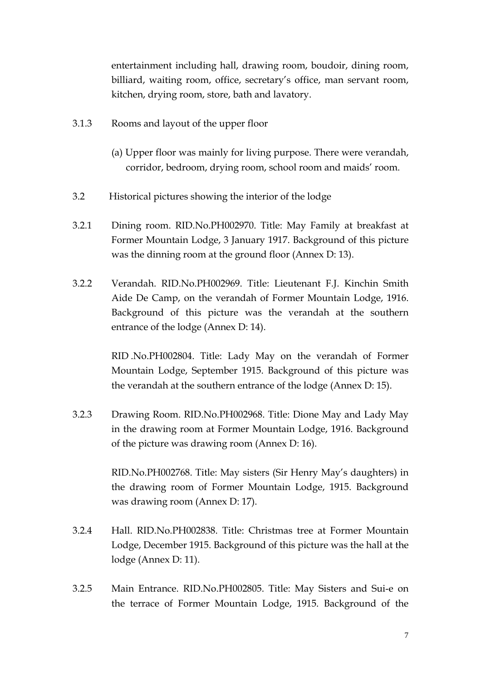entertainment including hall, drawing room, boudoir, dining room, billiard, waiting room, office, secretary's office, man servant room, kitchen, drying room, store, bath and lavatory.

- 3.1.3 Rooms and layout of the upper floor
	- (a) Upper floor was mainly for living purpose. There were verandah, corridor, bedroom, drying room, school room and maids' room.
- 3.2 Historical pictures showing the interior of the lodge
- 3.2.1 Dining room. RID.No.PH002970. Title: May Family at breakfast at Former Mountain Lodge, 3 January 1917. Background of this picture was the dinning room at the ground floor (Annex D: 13).
- 3.2.2 Verandah. RID.No.PH002969. Title: Lieutenant F.J. Kinchin Smith Aide De Camp, on the verandah of Former Mountain Lodge, 1916. Background of this picture was the verandah at the southern entrance of the lodge (Annex D: 14).

RID .No.PH002804. Title: Lady May on the verandah of Former Mountain Lodge, September 1915. Background of this picture was the verandah at the southern entrance of the lodge (Annex D: 15).

3.2.3 Drawing Room. RID.No.PH002968. Title: Dione May and Lady May in the drawing room at Former Mountain Lodge, 1916. Background of the picture was drawing room (Annex D: 16).

> RID.No.PH002768. Title: May sisters (Sir Henry May's daughters) in the drawing room of Former Mountain Lodge, 1915. Background was drawing room (Annex D: 17).

- 3.2.4 Hall. RID.No.PH002838. Title: Christmas tree at Former Mountain Lodge, December 1915. Background of this picture was the hall at the lodge (Annex D: 11).
- 3.2.5 Main Entrance. RID.No.PH002805. Title: May Sisters and Sui-e on the terrace of Former Mountain Lodge, 1915. Background of the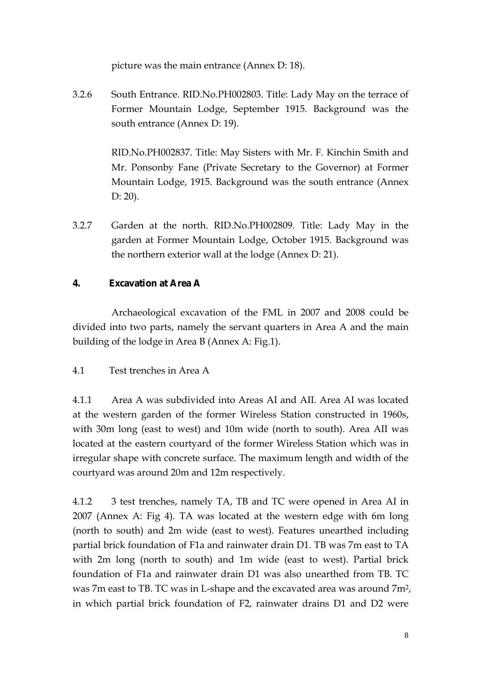picture was the main entrance (Annex D: 18).

3.2.6 South Entrance. RID.No.PH002803. Title: Lady May on the terrace of Former Mountain Lodge, September 1915. Background was the south entrance (Annex D: 19).

> RID.No.PH002837. Title: May Sisters with Mr. F. Kinchin Smith and Mr. Ponsonby Fane (Private Secretary to the Governor) at Former Mountain Lodge, 1915. Background was the south entrance (Annex D: 20).

3.2.7 Garden at the north. RID.No.PH002809. Title: Lady May in the garden at Former Mountain Lodge, October 1915. Background was the northern exterior wall at the lodge (Annex D: 21).

## **4. Excavation at Area A**

Archaeological excavation of the FML in 2007 and 2008 could be divided into two parts, namely the servant quarters in Area A and the main building of the lodge in Area B (Annex A: Fig.1).

## 4.1 Test trenches in Area A

4.1.1 Area A was subdivided into Areas AI and AII. Area AI was located at the western garden of the former Wireless Station constructed in 1960s, with 30m long (east to west) and 10m wide (north to south). Area AII was located at the eastern courtyard of the former Wireless Station which was in irregular shape with concrete surface. The maximum length and width of the courtyard was around 20m and 12m respectively.

4.1.2 3 test trenches, namely TA, TB and TC were opened in Area AI in 2007 (Annex A: Fig 4). TA was located at the western edge with 6m long (north to south) and 2m wide (east to west). Features unearthed including partial brick foundation of F1a and rainwater drain D1. TB was 7m east to TA with 2m long (north to south) and 1m wide (east to west). Partial brick foundation of F1a and rainwater drain D1 was also unearthed from TB. TC was 7m east to TB. TC was in L-shape and the excavated area was around 7m2, in which partial brick foundation of F2, rainwater drains D1 and D2 were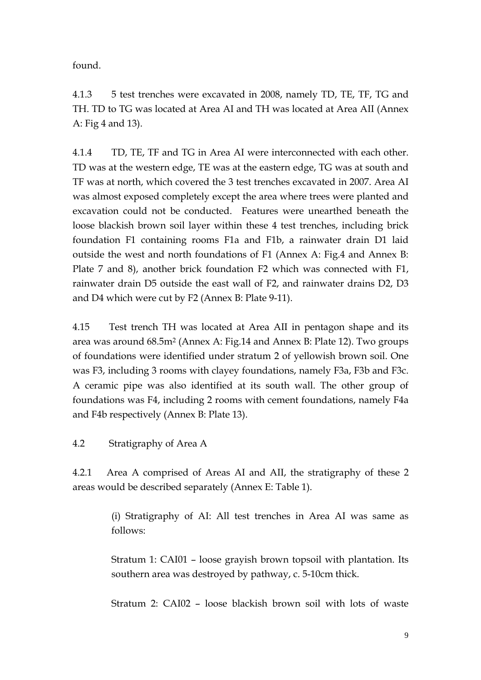found.

4.1.3 5 test trenches were excavated in 2008, namely TD, TE, TF, TG and TH. TD to TG was located at Area AI and TH was located at Area AII (Annex A: Fig 4 and 13).

4.1.4 TD, TE, TF and TG in Area AI were interconnected with each other. TD was at the western edge, TE was at the eastern edge, TG was at south and TF was at north, which covered the 3 test trenches excavated in 2007. Area AI was almost exposed completely except the area where trees were planted and excavation could not be conducted. Features were unearthed beneath the loose blackish brown soil layer within these 4 test trenches, including brick foundation F1 containing rooms F1a and F1b, a rainwater drain D1 laid outside the west and north foundations of F1 (Annex A: Fig.4 and Annex B: Plate 7 and 8), another brick foundation F2 which was connected with F1, rainwater drain D5 outside the east wall of F2, and rainwater drains D2, D3 and D4 which were cut by F2 (Annex B: Plate 9-11).

4.15 Test trench TH was located at Area AII in pentagon shape and its area was around 68.5m2 (Annex A: Fig.14 and Annex B: Plate 12). Two groups of foundations were identified under stratum 2 of yellowish brown soil. One was F3, including 3 rooms with clayey foundations, namely F3a, F3b and F3c. A ceramic pipe was also identified at its south wall. The other group of foundations was F4, including 2 rooms with cement foundations, namely F4a and F4b respectively (Annex B: Plate 13).

4.2 Stratigraphy of Area A

4.2.1 Area A comprised of Areas AI and AII, the stratigraphy of these 2 areas would be described separately (Annex E: Table 1).

> (i) Stratigraphy of AI: All test trenches in Area AI was same as follows:

> Stratum 1: CAI01 – loose grayish brown topsoil with plantation. Its southern area was destroyed by pathway, c. 5-10cm thick.

> Stratum 2: CAI02 – loose blackish brown soil with lots of waste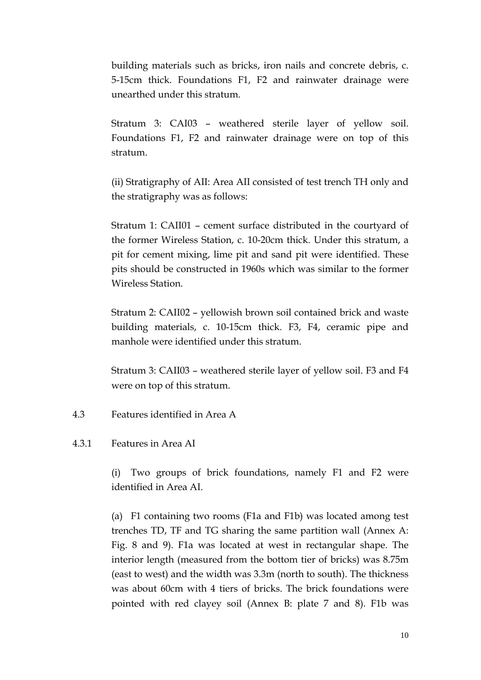building materials such as bricks, iron nails and concrete debris, c. 5-15cm thick. Foundations F1, F2 and rainwater drainage were unearthed under this stratum.

Stratum 3: CAI03 – weathered sterile layer of yellow soil. Foundations F1, F2 and rainwater drainage were on top of this stratum.

(ii) Stratigraphy of AII: Area AII consisted of test trench TH only and the stratigraphy was as follows:

Stratum 1: CAII01 – cement surface distributed in the courtyard of the former Wireless Station, c. 10-20cm thick. Under this stratum, a pit for cement mixing, lime pit and sand pit were identified. These pits should be constructed in 1960s which was similar to the former Wireless Station.

Stratum 2: CAII02 – yellowish brown soil contained brick and waste building materials, c. 10-15cm thick. F3, F4, ceramic pipe and manhole were identified under this stratum.

Stratum 3: CAII03 – weathered sterile layer of yellow soil. F3 and F4 were on top of this stratum.

- 4.3 Features identified in Area A
- 4.3.1 Features in Area AI

(i) Two groups of brick foundations, namely F1 and F2 were identified in Area AI.

(a) F1 containing two rooms (F1a and F1b) was located among test trenches TD, TF and TG sharing the same partition wall (Annex A: Fig. 8 and 9). F1a was located at west in rectangular shape. The interior length (measured from the bottom tier of bricks) was 8.75m (east to west) and the width was 3.3m (north to south). The thickness was about 60cm with 4 tiers of bricks. The brick foundations were pointed with red clayey soil (Annex B: plate 7 and 8). F1b was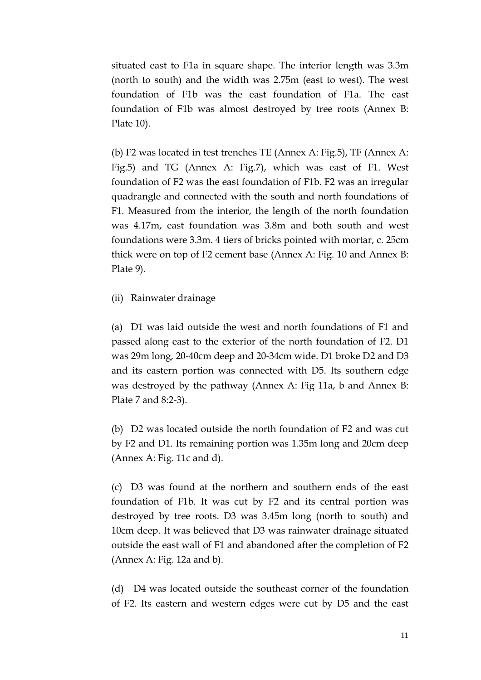situated east to F1a in square shape. The interior length was 3.3m (north to south) and the width was 2.75m (east to west). The west foundation of F1b was the east foundation of F1a. The east foundation of F1b was almost destroyed by tree roots (Annex B: Plate 10).

(b) F2 was located in test trenches TE (Annex A: Fig.5), TF (Annex A: Fig.5) and TG (Annex A: Fig.7), which was east of F1. West foundation of F2 was the east foundation of F1b. F2 was an irregular quadrangle and connected with the south and north foundations of F1. Measured from the interior, the length of the north foundation was 4.17m, east foundation was 3.8m and both south and west foundations were 3.3m. 4 tiers of bricks pointed with mortar, c. 25cm thick were on top of F2 cement base (Annex A: Fig. 10 and Annex B: Plate 9).

(ii) Rainwater drainage

(a) D1 was laid outside the west and north foundations of F1 and passed along east to the exterior of the north foundation of F2. D1 was 29m long, 20-40cm deep and 20-34cm wide. D1 broke D2 and D3 and its eastern portion was connected with D5. Its southern edge was destroyed by the pathway (Annex A: Fig 11a, b and Annex B: Plate 7 and 8:2-3).

(b) D2 was located outside the north foundation of F2 and was cut by F2 and D1. Its remaining portion was 1.35m long and 20cm deep (Annex A: Fig. 11c and d).

(c) D3 was found at the northern and southern ends of the east foundation of F1b. It was cut by F2 and its central portion was destroyed by tree roots. D3 was 3.45m long (north to south) and 10cm deep. It was believed that D3 was rainwater drainage situated outside the east wall of F1 and abandoned after the completion of F2 (Annex A: Fig. 12a and b).

(d) D4 was located outside the southeast corner of the foundation of F2. Its eastern and western edges were cut by D5 and the east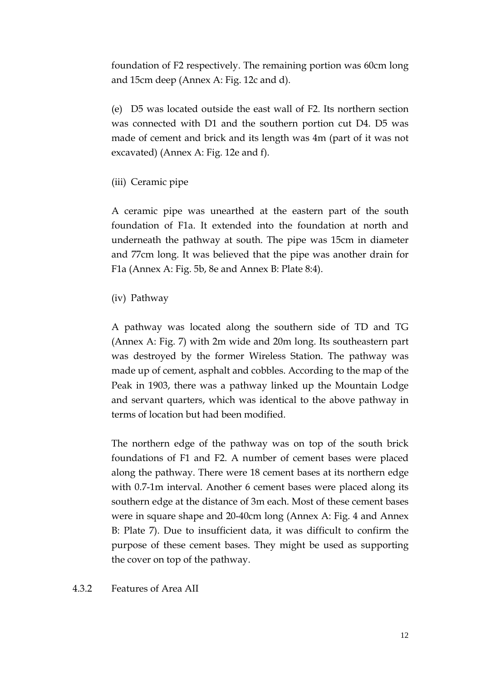foundation of F2 respectively. The remaining portion was 60cm long and 15cm deep (Annex A: Fig. 12c and d).

(e) D5 was located outside the east wall of F2. Its northern section was connected with D1 and the southern portion cut D4. D5 was made of cement and brick and its length was 4m (part of it was not excavated) (Annex A: Fig. 12e and f).

(iii) Ceramic pipe

A ceramic pipe was unearthed at the eastern part of the south foundation of F1a. It extended into the foundation at north and underneath the pathway at south. The pipe was 15cm in diameter and 77cm long. It was believed that the pipe was another drain for F1a (Annex A: Fig. 5b, 8e and Annex B: Plate 8:4).

(iv) Pathway

A pathway was located along the southern side of TD and TG (Annex A: Fig. 7) with 2m wide and 20m long. Its southeastern part was destroyed by the former Wireless Station. The pathway was made up of cement, asphalt and cobbles. According to the map of the Peak in 1903, there was a pathway linked up the Mountain Lodge and servant quarters, which was identical to the above pathway in terms of location but had been modified.

The northern edge of the pathway was on top of the south brick foundations of F1 and F2. A number of cement bases were placed along the pathway. There were 18 cement bases at its northern edge with 0.7-1m interval. Another 6 cement bases were placed along its southern edge at the distance of 3m each. Most of these cement bases were in square shape and 20-40cm long (Annex A: Fig. 4 and Annex B: Plate 7). Due to insufficient data, it was difficult to confirm the purpose of these cement bases. They might be used as supporting the cover on top of the pathway.

4.3.2 Features of Area AII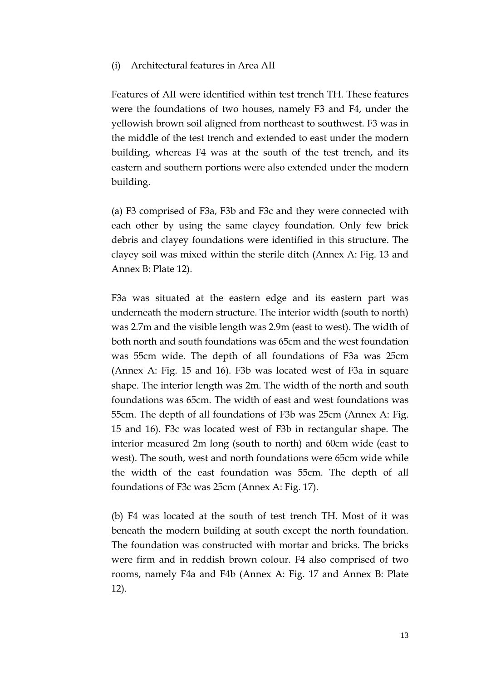#### (i) Architectural features in Area AII

Features of AII were identified within test trench TH. These features were the foundations of two houses, namely F3 and F4, under the yellowish brown soil aligned from northeast to southwest. F3 was in the middle of the test trench and extended to east under the modern building, whereas F4 was at the south of the test trench, and its eastern and southern portions were also extended under the modern building.

(a) F3 comprised of F3a, F3b and F3c and they were connected with each other by using the same clayey foundation. Only few brick debris and clayey foundations were identified in this structure. The clayey soil was mixed within the sterile ditch (Annex A: Fig. 13 and Annex B: Plate 12).

F3a was situated at the eastern edge and its eastern part was underneath the modern structure. The interior width (south to north) was 2.7m and the visible length was 2.9m (east to west). The width of both north and south foundations was 65cm and the west foundation was 55cm wide. The depth of all foundations of F3a was 25cm (Annex A: Fig. 15 and 16). F3b was located west of F3a in square shape. The interior length was 2m. The width of the north and south foundations was 65cm. The width of east and west foundations was 55cm. The depth of all foundations of F3b was 25cm (Annex A: Fig. 15 and 16). F3c was located west of F3b in rectangular shape. The interior measured 2m long (south to north) and 60cm wide (east to west). The south, west and north foundations were 65cm wide while the width of the east foundation was 55cm. The depth of all foundations of F3c was 25cm (Annex A: Fig. 17).

(b) F4 was located at the south of test trench TH. Most of it was beneath the modern building at south except the north foundation. The foundation was constructed with mortar and bricks. The bricks were firm and in reddish brown colour. F4 also comprised of two rooms, namely F4a and F4b (Annex A: Fig. 17 and Annex B: Plate 12).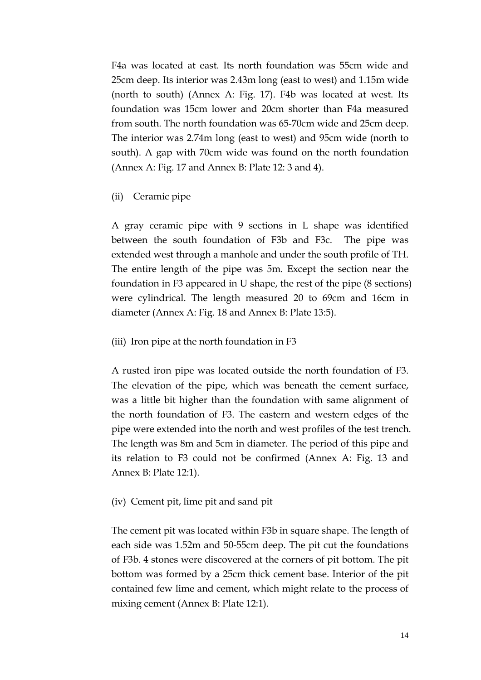F4a was located at east. Its north foundation was 55cm wide and 25cm deep. Its interior was 2.43m long (east to west) and 1.15m wide (north to south) (Annex A: Fig. 17). F4b was located at west. Its foundation was 15cm lower and 20cm shorter than F4a measured from south. The north foundation was 65-70cm wide and 25cm deep. The interior was 2.74m long (east to west) and 95cm wide (north to south). A gap with 70cm wide was found on the north foundation (Annex A: Fig. 17 and Annex B: Plate 12: 3 and 4).

## (ii) Ceramic pipe

A gray ceramic pipe with 9 sections in L shape was identified between the south foundation of F3b and F3c. The pipe was extended west through a manhole and under the south profile of TH. The entire length of the pipe was 5m. Except the section near the foundation in F3 appeared in U shape, the rest of the pipe (8 sections) were cylindrical. The length measured 20 to 69cm and 16cm in diameter (Annex A: Fig. 18 and Annex B: Plate 13:5).

## (iii) Iron pipe at the north foundation in F3

A rusted iron pipe was located outside the north foundation of F3. The elevation of the pipe, which was beneath the cement surface, was a little bit higher than the foundation with same alignment of the north foundation of F3. The eastern and western edges of the pipe were extended into the north and west profiles of the test trench. The length was 8m and 5cm in diameter. The period of this pipe and its relation to F3 could not be confirmed (Annex A: Fig. 13 and Annex B: Plate 12:1).

## (iv) Cement pit, lime pit and sand pit

The cement pit was located within F3b in square shape. The length of each side was 1.52m and 50-55cm deep. The pit cut the foundations of F3b. 4 stones were discovered at the corners of pit bottom. The pit bottom was formed by a 25cm thick cement base. Interior of the pit contained few lime and cement, which might relate to the process of mixing cement (Annex B: Plate 12:1).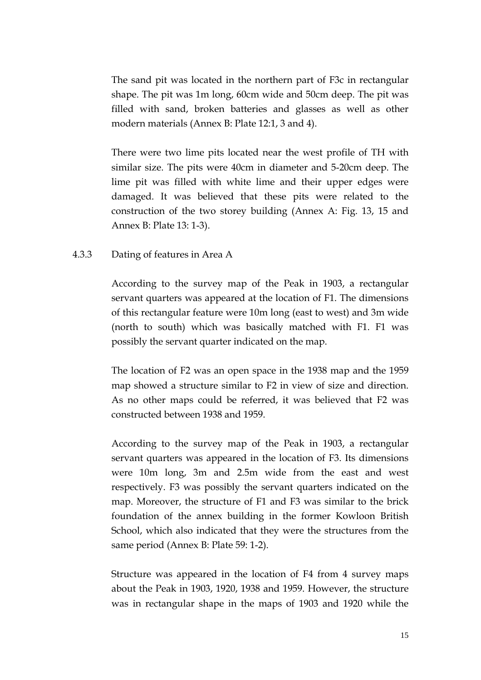The sand pit was located in the northern part of F3c in rectangular shape. The pit was 1m long, 60cm wide and 50cm deep. The pit was filled with sand, broken batteries and glasses as well as other modern materials (Annex B: Plate 12:1, 3 and 4).

There were two lime pits located near the west profile of TH with similar size. The pits were 40cm in diameter and 5-20cm deep. The lime pit was filled with white lime and their upper edges were damaged. It was believed that these pits were related to the construction of the two storey building (Annex A: Fig. 13, 15 and Annex B: Plate 13: 1-3).

## 4.3.3 Dating of features in Area A

According to the survey map of the Peak in 1903, a rectangular servant quarters was appeared at the location of F1. The dimensions of this rectangular feature were 10m long (east to west) and 3m wide (north to south) which was basically matched with F1. F1 was possibly the servant quarter indicated on the map.

The location of F2 was an open space in the 1938 map and the 1959 map showed a structure similar to F2 in view of size and direction. As no other maps could be referred, it was believed that F2 was constructed between 1938 and 1959.

According to the survey map of the Peak in 1903, a rectangular servant quarters was appeared in the location of F3. Its dimensions were 10m long, 3m and 2.5m wide from the east and west respectively. F3 was possibly the servant quarters indicated on the map. Moreover, the structure of F1 and F3 was similar to the brick foundation of the annex building in the former Kowloon British School, which also indicated that they were the structures from the same period (Annex B: Plate 59: 1-2).

Structure was appeared in the location of F4 from 4 survey maps about the Peak in 1903, 1920, 1938 and 1959. However, the structure was in rectangular shape in the maps of 1903 and 1920 while the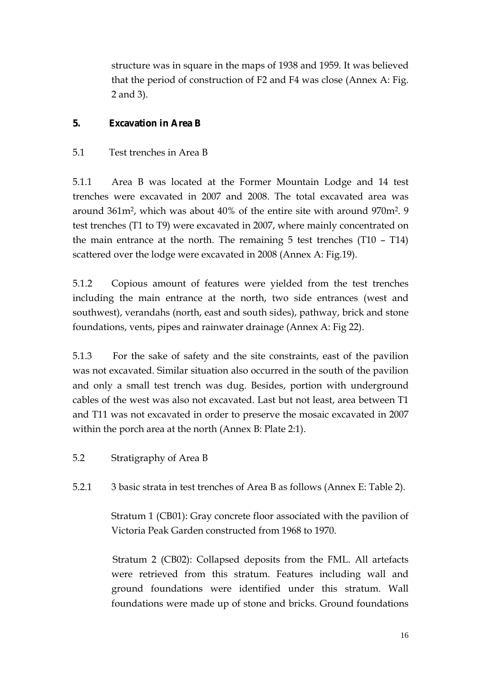structure was in square in the maps of 1938 and 1959. It was believed that the period of construction of F2 and F4 was close (Annex A: Fig. 2 and 3).

# **5. Excavation in Area B**

## 5.1 Test trenches in Area B

5.1.1 Area B was located at the Former Mountain Lodge and 14 test trenches were excavated in 2007 and 2008. The total excavated area was around 361m2, which was about 40% of the entire site with around 970m2. 9 test trenches (T1 to T9) were excavated in 2007, where mainly concentrated on the main entrance at the north. The remaining 5 test trenches (T10 – T14) scattered over the lodge were excavated in 2008 (Annex A: Fig.19).

5.1.2 Copious amount of features were yielded from the test trenches including the main entrance at the north, two side entrances (west and southwest), verandahs (north, east and south sides), pathway, brick and stone foundations, vents, pipes and rainwater drainage (Annex A: Fig 22).

5.1.3 For the sake of safety and the site constraints, east of the pavilion was not excavated. Similar situation also occurred in the south of the pavilion and only a small test trench was dug. Besides, portion with underground cables of the west was also not excavated. Last but not least, area between T1 and T11 was not excavated in order to preserve the mosaic excavated in 2007 within the porch area at the north (Annex B: Plate 2:1).

5.2 Stratigraphy of Area B

5.2.1 3 basic strata in test trenches of Area B as follows (Annex E: Table 2).

Stratum 1 (CB01): Gray concrete floor associated with the pavilion of Victoria Peak Garden constructed from 1968 to 1970.

 Stratum 2 (CB02): Collapsed deposits from the FML. All artefacts were retrieved from this stratum. Features including wall and ground foundations were identified under this stratum. Wall foundations were made up of stone and bricks. Ground foundations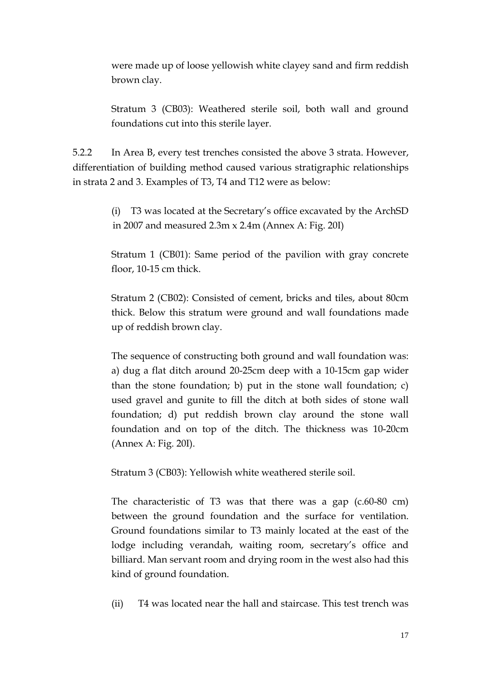were made up of loose yellowish white clayey sand and firm reddish brown clay.

Stratum 3 (CB03): Weathered sterile soil, both wall and ground foundations cut into this sterile layer.

5.2.2 In Area B, every test trenches consisted the above 3 strata. However, differentiation of building method caused various stratigraphic relationships in strata 2 and 3. Examples of T3, T4 and T12 were as below:

> (i) T3 was located at the Secretary's office excavated by the ArchSD in 2007 and measured 2.3m x 2.4m (Annex A: Fig. 20I)

> Stratum 1 (CB01): Same period of the pavilion with gray concrete floor, 10-15 cm thick.

> Stratum 2 (CB02): Consisted of cement, bricks and tiles, about 80cm thick. Below this stratum were ground and wall foundations made up of reddish brown clay.

> The sequence of constructing both ground and wall foundation was: a) dug a flat ditch around 20-25cm deep with a 10-15cm gap wider than the stone foundation; b) put in the stone wall foundation; c) used gravel and gunite to fill the ditch at both sides of stone wall foundation; d) put reddish brown clay around the stone wall foundation and on top of the ditch. The thickness was 10-20cm (Annex A: Fig. 20I).

Stratum 3 (CB03): Yellowish white weathered sterile soil.

The characteristic of T3 was that there was a gap (c.60-80 cm) between the ground foundation and the surface for ventilation. Ground foundations similar to T3 mainly located at the east of the lodge including verandah, waiting room, secretary's office and billiard. Man servant room and drying room in the west also had this kind of ground foundation.

(ii) T4 was located near the hall and staircase. This test trench was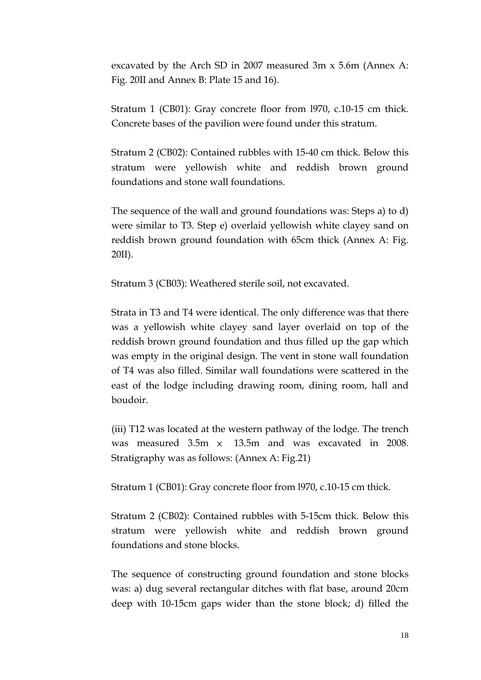excavated by the Arch SD in 2007 measured 3m x 5.6m (Annex A: Fig. 20II and Annex B: Plate 15 and 16).

Stratum 1 (CB01): Gray concrete floor from l970, c.10-15 cm thick. Concrete bases of the pavilion were found under this stratum.

Stratum 2 (CB02): Contained rubbles with 15-40 cm thick. Below this stratum were yellowish white and reddish brown ground foundations and stone wall foundations.

The sequence of the wall and ground foundations was: Steps a) to d) were similar to T3. Step e) overlaid yellowish white clayey sand on reddish brown ground foundation with 65cm thick (Annex A: Fig. 20II).

Stratum 3 (CB03): Weathered sterile soil, not excavated.

Strata in T3 and T4 were identical. The only difference was that there was a yellowish white clayey sand layer overlaid on top of the reddish brown ground foundation and thus filled up the gap which was empty in the original design. The vent in stone wall foundation of T4 was also filled. Similar wall foundations were scattered in the east of the lodge including drawing room, dining room, hall and boudoir.

(iii) T12 was located at the western pathway of the lodge. The trench was measured  $3.5m \times 13.5m$  and was excavated in 2008. Stratigraphy was as follows: (Annex A: Fig.21)

Stratum 1 (CB01): Gray concrete floor from l970, c.10-15 cm thick.

Stratum 2 (CB02): Contained rubbles with 5-15cm thick. Below this stratum were yellowish white and reddish brown ground foundations and stone blocks.

The sequence of constructing ground foundation and stone blocks was: a) dug several rectangular ditches with flat base, around 20cm deep with 10-15cm gaps wider than the stone block; d) filled the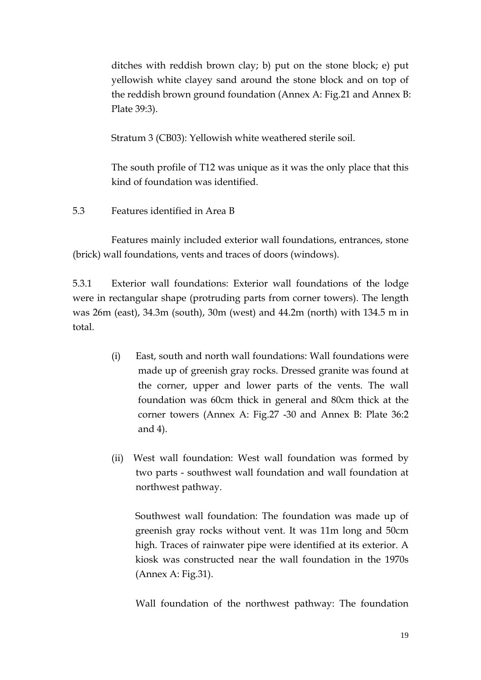ditches with reddish brown clay; b) put on the stone block; e) put yellowish white clayey sand around the stone block and on top of the reddish brown ground foundation (Annex A: Fig.21 and Annex B: Plate 39:3).

Stratum 3 (CB03): Yellowish white weathered sterile soil.

The south profile of T12 was unique as it was the only place that this kind of foundation was identified.

5.3 Features identified in Area B

Features mainly included exterior wall foundations, entrances, stone (brick) wall foundations, vents and traces of doors (windows).

5.3.1 Exterior wall foundations: Exterior wall foundations of the lodge were in rectangular shape (protruding parts from corner towers). The length was 26m (east), 34.3m (south), 30m (west) and 44.2m (north) with 134.5 m in total.

- (i) East, south and north wall foundations: Wall foundations were made up of greenish gray rocks. Dressed granite was found at the corner, upper and lower parts of the vents. The wall foundation was 60cm thick in general and 80cm thick at the corner towers (Annex A: Fig.27 -30 and Annex B: Plate 36:2 and 4).
- (ii)West wall foundation: West wall foundation was formed by two parts - southwest wall foundation and wall foundation at northwest pathway.

Southwest wall foundation: The foundation was made up of greenish gray rocks without vent. It was 11m long and 50cm high. Traces of rainwater pipe were identified at its exterior. A kiosk was constructed near the wall foundation in the 1970s (Annex A: Fig.31).

Wall foundation of the northwest pathway: The foundation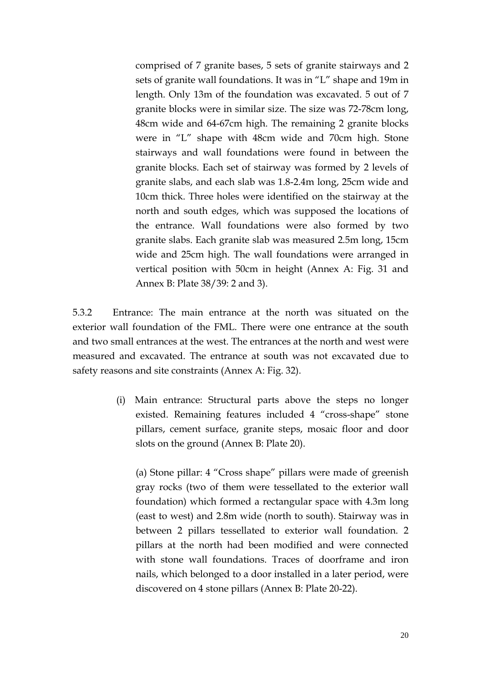comprised of 7 granite bases, 5 sets of granite stairways and 2 sets of granite wall foundations. It was in "L" shape and 19m in length. Only 13m of the foundation was excavated. 5 out of 7 granite blocks were in similar size. The size was 72-78cm long, 48cm wide and 64-67cm high. The remaining 2 granite blocks were in "L" shape with 48cm wide and 70cm high. Stone stairways and wall foundations were found in between the granite blocks. Each set of stairway was formed by 2 levels of granite slabs, and each slab was 1.8-2.4m long, 25cm wide and 10cm thick. Three holes were identified on the stairway at the north and south edges, which was supposed the locations of the entrance. Wall foundations were also formed by two granite slabs. Each granite slab was measured 2.5m long, 15cm wide and 25cm high. The wall foundations were arranged in vertical position with 50cm in height (Annex A: Fig. 31 and Annex B: Plate 38/39: 2 and 3).

5.3.2 Entrance: The main entrance at the north was situated on the exterior wall foundation of the FML. There were one entrance at the south and two small entrances at the west. The entrances at the north and west were measured and excavated. The entrance at south was not excavated due to safety reasons and site constraints (Annex A: Fig. 32).

> (i) Main entrance: Structural parts above the steps no longer existed. Remaining features included 4 "cross-shape" stone pillars, cement surface, granite steps, mosaic floor and door slots on the ground (Annex B: Plate 20).

(a) Stone pillar: 4 "Cross shape" pillars were made of greenish gray rocks (two of them were tessellated to the exterior wall foundation) which formed a rectangular space with 4.3m long (east to west) and 2.8m wide (north to south). Stairway was in between 2 pillars tessellated to exterior wall foundation. 2 pillars at the north had been modified and were connected with stone wall foundations. Traces of doorframe and iron nails, which belonged to a door installed in a later period, were discovered on 4 stone pillars (Annex B: Plate 20-22).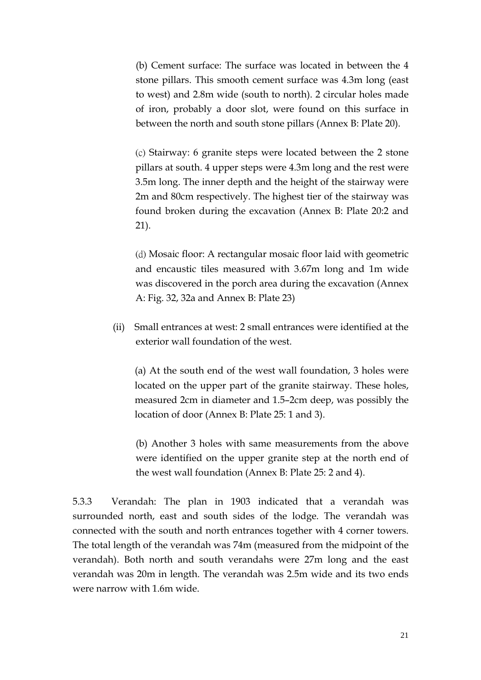(b) Cement surface: The surface was located in between the 4 stone pillars. This smooth cement surface was 4.3m long (east to west) and 2.8m wide (south to north). 2 circular holes made of iron, probably a door slot, were found on this surface in between the north and south stone pillars (Annex B: Plate 20).

 (c) Stairway: 6 granite steps were located between the 2 stone pillars at south. 4 upper steps were 4.3m long and the rest were 3.5m long. The inner depth and the height of the stairway were 2m and 80cm respectively. The highest tier of the stairway was found broken during the excavation (Annex B: Plate 20:2 and 21).

(d) Mosaic floor: A rectangular mosaic floor laid with geometric and encaustic tiles measured with 3.67m long and 1m wide was discovered in the porch area during the excavation (Annex A: Fig. 32, 32a and Annex B: Plate 23)

 (ii) Small entrances at west: 2 small entrances were identified at the exterior wall foundation of the west.

(a) At the south end of the west wall foundation, 3 holes were located on the upper part of the granite stairway. These holes, measured 2cm in diameter and 1.5–2cm deep, was possibly the location of door (Annex B: Plate 25: 1 and 3).

(b) Another 3 holes with same measurements from the above were identified on the upper granite step at the north end of the west wall foundation (Annex B: Plate 25: 2 and 4).

5.3.3 Verandah: The plan in 1903 indicated that a verandah was surrounded north, east and south sides of the lodge. The verandah was connected with the south and north entrances together with 4 corner towers. The total length of the verandah was 74m (measured from the midpoint of the verandah). Both north and south verandahs were 27m long and the east verandah was 20m in length. The verandah was 2.5m wide and its two ends were narrow with 1.6m wide.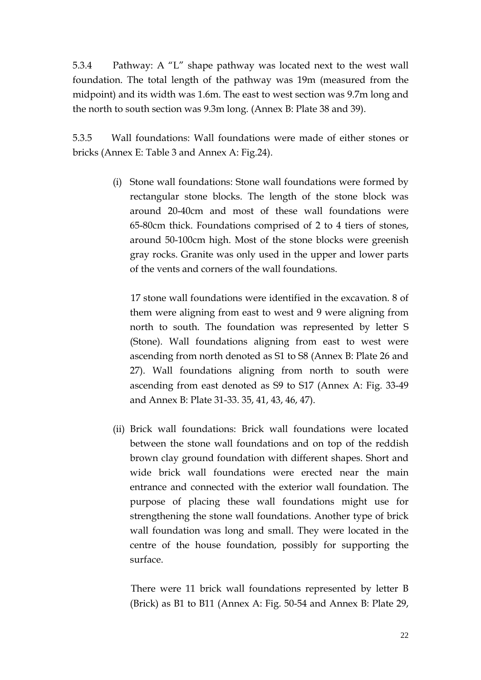5.3.4 Pathway: A "L" shape pathway was located next to the west wall foundation. The total length of the pathway was 19m (measured from the midpoint) and its width was 1.6m. The east to west section was 9.7m long and the north to south section was 9.3m long. (Annex B: Plate 38 and 39).

5.3.5 Wall foundations: Wall foundations were made of either stones or bricks (Annex E: Table 3 and Annex A: Fig.24).

> (i) Stone wall foundations: Stone wall foundations were formed by rectangular stone blocks. The length of the stone block was around 20-40cm and most of these wall foundations were 65-80cm thick. Foundations comprised of 2 to 4 tiers of stones, around 50-100cm high. Most of the stone blocks were greenish gray rocks. Granite was only used in the upper and lower parts of the vents and corners of the wall foundations.

17 stone wall foundations were identified in the excavation. 8 of them were aligning from east to west and 9 were aligning from north to south. The foundation was represented by letter S (Stone). Wall foundations aligning from east to west were ascending from north denoted as S1 to S8 (Annex B: Plate 26 and 27). Wall foundations aligning from north to south were ascending from east denoted as S9 to S17 (Annex A: Fig. 33-49 and Annex B: Plate 31-33. 35, 41, 43, 46, 47).

(ii) Brick wall foundations: Brick wall foundations were located between the stone wall foundations and on top of the reddish brown clay ground foundation with different shapes. Short and wide brick wall foundations were erected near the main entrance and connected with the exterior wall foundation. The purpose of placing these wall foundations might use for strengthening the stone wall foundations. Another type of brick wall foundation was long and small. They were located in the centre of the house foundation, possibly for supporting the surface.

There were 11 brick wall foundations represented by letter B (Brick) as B1 to B11 (Annex A: Fig. 50-54 and Annex B: Plate 29,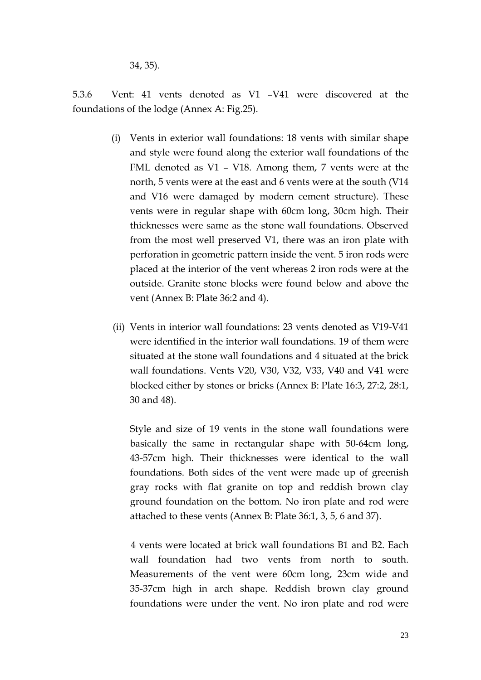34, 35).

5.3.6 Vent: 41 vents denoted as V1 –V41 were discovered at the foundations of the lodge (Annex A: Fig.25).

- (i) Vents in exterior wall foundations: 18 vents with similar shape and style were found along the exterior wall foundations of the FML denoted as V1 – V18. Among them, 7 vents were at the north, 5 vents were at the east and 6 vents were at the south (V14 and V16 were damaged by modern cement structure). These vents were in regular shape with 60cm long, 30cm high. Their thicknesses were same as the stone wall foundations. Observed from the most well preserved V1, there was an iron plate with perforation in geometric pattern inside the vent. 5 iron rods were placed at the interior of the vent whereas 2 iron rods were at the outside. Granite stone blocks were found below and above the vent (Annex B: Plate 36:2 and 4).
- (ii) Vents in interior wall foundations: 23 vents denoted as V19-V41 were identified in the interior wall foundations. 19 of them were situated at the stone wall foundations and 4 situated at the brick wall foundations. Vents V20, V30, V32, V33, V40 and V41 were blocked either by stones or bricks (Annex B: Plate 16:3, 27:2, 28:1, 30 and 48).

Style and size of 19 vents in the stone wall foundations were basically the same in rectangular shape with 50-64cm long, 43-57cm high. Their thicknesses were identical to the wall foundations. Both sides of the vent were made up of greenish gray rocks with flat granite on top and reddish brown clay ground foundation on the bottom. No iron plate and rod were attached to these vents (Annex B: Plate 36:1, 3, 5, 6 and 37).

4 vents were located at brick wall foundations B1 and B2. Each wall foundation had two vents from north to south. Measurements of the vent were 60cm long, 23cm wide and 35-37cm high in arch shape. Reddish brown clay ground foundations were under the vent. No iron plate and rod were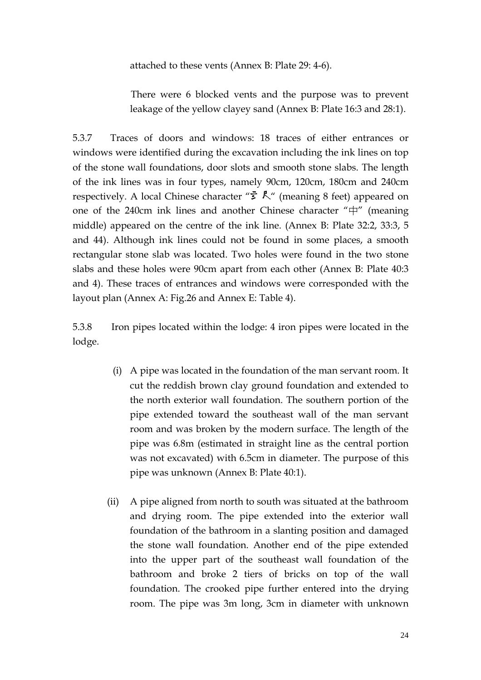attached to these vents (Annex B: Plate 29: 4-6).

There were 6 blocked vents and the purpose was to prevent leakage of the yellow clayey sand (Annex B: Plate 16:3 and 28:1).

5.3.7 Traces of doors and windows: 18 traces of either entrances or windows were identified during the excavation including the ink lines on top of the stone wall foundations, door slots and smooth stone slabs. The length of the ink lines was in four types, namely 90cm, 120cm, 180cm and 240cm respectively. A local Chinese character " $\vec{z}$ ,  $\vec{k}$ " (meaning 8 feet) appeared on one of the 240cm ink lines and another Chinese character "中" (meaning middle) appeared on the centre of the ink line. (Annex B: Plate 32:2, 33:3, 5 and 44). Although ink lines could not be found in some places, a smooth rectangular stone slab was located. Two holes were found in the two stone slabs and these holes were 90cm apart from each other (Annex B: Plate 40:3 and 4). These traces of entrances and windows were corresponded with the layout plan (Annex A: Fig.26 and Annex E: Table 4).

5.3.8 Iron pipes located within the lodge: 4 iron pipes were located in the lodge.

- (i) A pipe was located in the foundation of the man servant room. It cut the reddish brown clay ground foundation and extended to the north exterior wall foundation. The southern portion of the pipe extended toward the southeast wall of the man servant room and was broken by the modern surface. The length of the pipe was 6.8m (estimated in straight line as the central portion was not excavated) with 6.5cm in diameter. The purpose of this pipe was unknown (Annex B: Plate 40:1).
- (ii) A pipe aligned from north to south was situated at the bathroom and drying room. The pipe extended into the exterior wall foundation of the bathroom in a slanting position and damaged the stone wall foundation. Another end of the pipe extended into the upper part of the southeast wall foundation of the bathroom and broke 2 tiers of bricks on top of the wall foundation. The crooked pipe further entered into the drying room. The pipe was 3m long, 3cm in diameter with unknown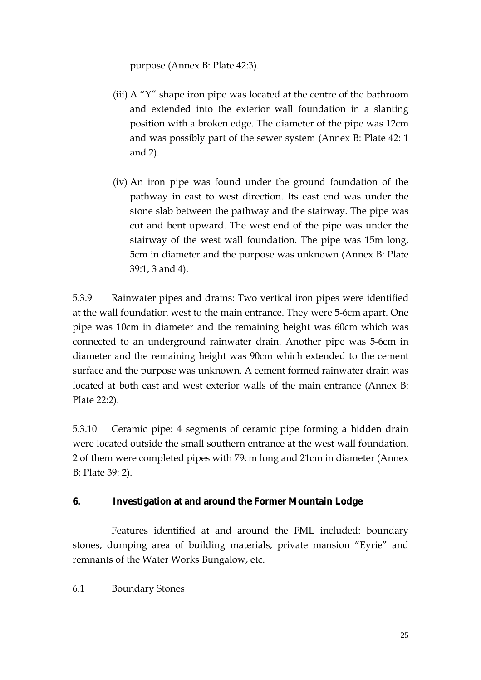purpose (Annex B: Plate 42:3).

- (iii) A "Y" shape iron pipe was located at the centre of the bathroom and extended into the exterior wall foundation in a slanting position with a broken edge. The diameter of the pipe was 12cm and was possibly part of the sewer system (Annex B: Plate 42: 1 and 2).
- (iv) An iron pipe was found under the ground foundation of the pathway in east to west direction. Its east end was under the stone slab between the pathway and the stairway. The pipe was cut and bent upward. The west end of the pipe was under the stairway of the west wall foundation. The pipe was 15m long, 5cm in diameter and the purpose was unknown (Annex B: Plate 39:1, 3 and 4).

5.3.9 Rainwater pipes and drains: Two vertical iron pipes were identified at the wall foundation west to the main entrance. They were 5-6cm apart. One pipe was 10cm in diameter and the remaining height was 60cm which was connected to an underground rainwater drain. Another pipe was 5-6cm in diameter and the remaining height was 90cm which extended to the cement surface and the purpose was unknown. A cement formed rainwater drain was located at both east and west exterior walls of the main entrance (Annex B: Plate 22:2).

5.3.10 Ceramic pipe: 4 segments of ceramic pipe forming a hidden drain were located outside the small southern entrance at the west wall foundation. 2 of them were completed pipes with 79cm long and 21cm in diameter (Annex B: Plate 39: 2).

## **6. Investigation at and around the Former Mountain Lodge**

Features identified at and around the FML included: boundary stones, dumping area of building materials, private mansion "Eyrie" and remnants of the Water Works Bungalow, etc.

6.1 Boundary Stones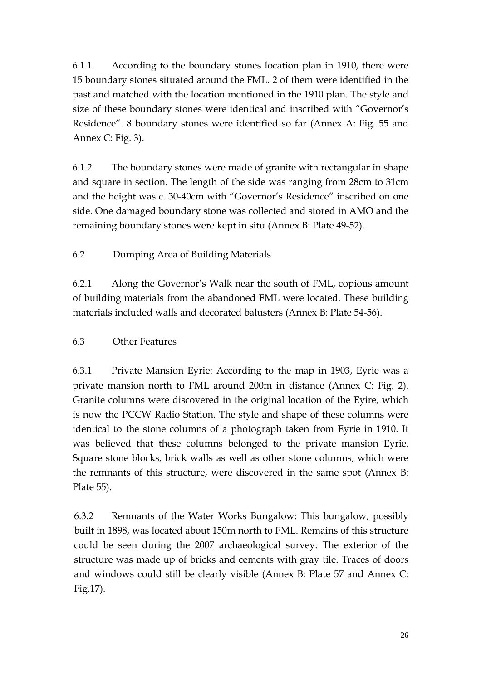6.1.1 According to the boundary stones location plan in 1910, there were 15 boundary stones situated around the FML. 2 of them were identified in the past and matched with the location mentioned in the 1910 plan. The style and size of these boundary stones were identical and inscribed with "Governor's Residence". 8 boundary stones were identified so far (Annex A: Fig. 55 and Annex C: Fig. 3).

6.1.2 The boundary stones were made of granite with rectangular in shape and square in section. The length of the side was ranging from 28cm to 31cm and the height was c. 30-40cm with "Governor's Residence" inscribed on one side. One damaged boundary stone was collected and stored in AMO and the remaining boundary stones were kept in situ (Annex B: Plate 49-52).

6.2 Dumping Area of Building Materials

6.2.1 Along the Governor's Walk near the south of FML, copious amount of building materials from the abandoned FML were located. These building materials included walls and decorated balusters (Annex B: Plate 54-56).

## 6.3 Other Features

6.3.1 Private Mansion Eyrie: According to the map in 1903, Eyrie was a private mansion north to FML around 200m in distance (Annex C: Fig. 2). Granite columns were discovered in the original location of the Eyire, which is now the PCCW Radio Station. The style and shape of these columns were identical to the stone columns of a photograph taken from Eyrie in 1910. It was believed that these columns belonged to the private mansion Eyrie. Square stone blocks, brick walls as well as other stone columns, which were the remnants of this structure, were discovered in the same spot (Annex B: Plate 55).

 6.3.2 Remnants of the Water Works Bungalow: This bungalow, possibly built in 1898, was located about 150m north to FML. Remains of this structure could be seen during the 2007 archaeological survey. The exterior of the structure was made up of bricks and cements with gray tile. Traces of doors and windows could still be clearly visible (Annex B: Plate 57 and Annex C: Fig.17).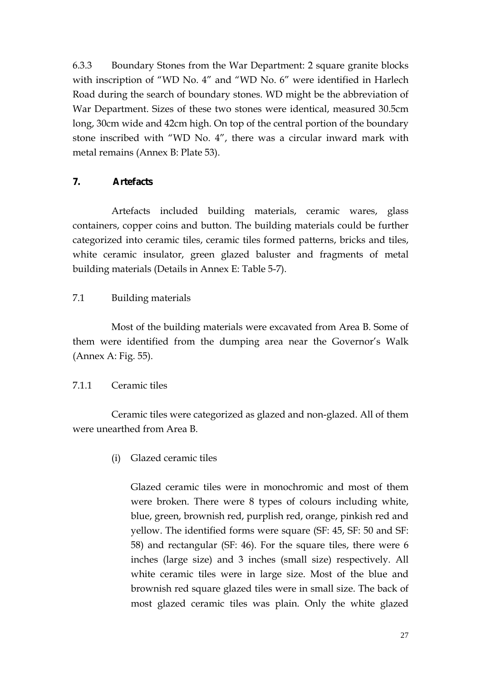6.3.3 Boundary Stones from the War Department: 2 square granite blocks with inscription of "WD No. 4" and "WD No. 6" were identified in Harlech Road during the search of boundary stones. WD might be the abbreviation of War Department. Sizes of these two stones were identical, measured 30.5cm long, 30cm wide and 42cm high. On top of the central portion of the boundary stone inscribed with "WD No. 4", there was a circular inward mark with metal remains (Annex B: Plate 53).

## **7. Artefacts**

Artefacts included building materials, ceramic wares, glass containers, copper coins and button. The building materials could be further categorized into ceramic tiles, ceramic tiles formed patterns, bricks and tiles, white ceramic insulator, green glazed baluster and fragments of metal building materials (Details in Annex E: Table 5-7).

## 7.1 Building materials

Most of the building materials were excavated from Area B. Some of them were identified from the dumping area near the Governor's Walk (Annex A: Fig. 55).

## 7.1.1 Ceramic tiles

Ceramic tiles were categorized as glazed and non-glazed. All of them were unearthed from Area B.

(i) Glazed ceramic tiles

Glazed ceramic tiles were in monochromic and most of them were broken. There were 8 types of colours including white, blue, green, brownish red, purplish red, orange, pinkish red and yellow. The identified forms were square (SF: 45, SF: 50 and SF: 58) and rectangular (SF: 46). For the square tiles, there were 6 inches (large size) and 3 inches (small size) respectively. All white ceramic tiles were in large size. Most of the blue and brownish red square glazed tiles were in small size. The back of most glazed ceramic tiles was plain. Only the white glazed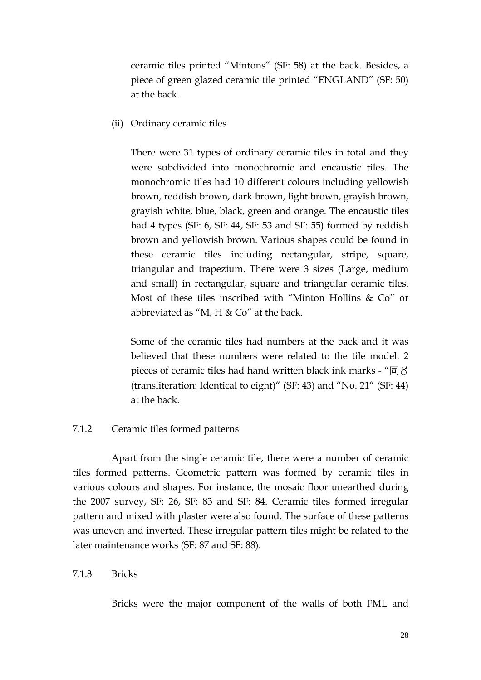ceramic tiles printed "Mintons" (SF: 58) at the back. Besides, a piece of green glazed ceramic tile printed "ENGLAND" (SF: 50) at the back.

(ii) Ordinary ceramic tiles

There were 31 types of ordinary ceramic tiles in total and they were subdivided into monochromic and encaustic tiles. The monochromic tiles had 10 different colours including yellowish brown, reddish brown, dark brown, light brown, grayish brown, grayish white, blue, black, green and orange. The encaustic tiles had 4 types (SF: 6, SF: 44, SF: 53 and SF: 55) formed by reddish brown and yellowish brown. Various shapes could be found in these ceramic tiles including rectangular, stripe, square, triangular and trapezium. There were 3 sizes (Large, medium and small) in rectangular, square and triangular ceramic tiles. Most of these tiles inscribed with "Minton Hollins & Co" or abbreviated as "M, H  $\&$  Co" at the back.

Some of the ceramic tiles had numbers at the back and it was believed that these numbers were related to the tile model. 2 pieces of ceramic tiles had hand written black ink marks - " $\Box$   $\Diamond$ (transliteration: Identical to eight)" (SF: 43) and "No. 21" (SF: 44) at the back.

#### 7.1.2 Ceramic tiles formed patterns

Apart from the single ceramic tile, there were a number of ceramic tiles formed patterns. Geometric pattern was formed by ceramic tiles in various colours and shapes. For instance, the mosaic floor unearthed during the 2007 survey, SF: 26, SF: 83 and SF: 84. Ceramic tiles formed irregular pattern and mixed with plaster were also found. The surface of these patterns was uneven and inverted. These irregular pattern tiles might be related to the later maintenance works (SF: 87 and SF: 88).

#### 7.1.3 Bricks

Bricks were the major component of the walls of both FML and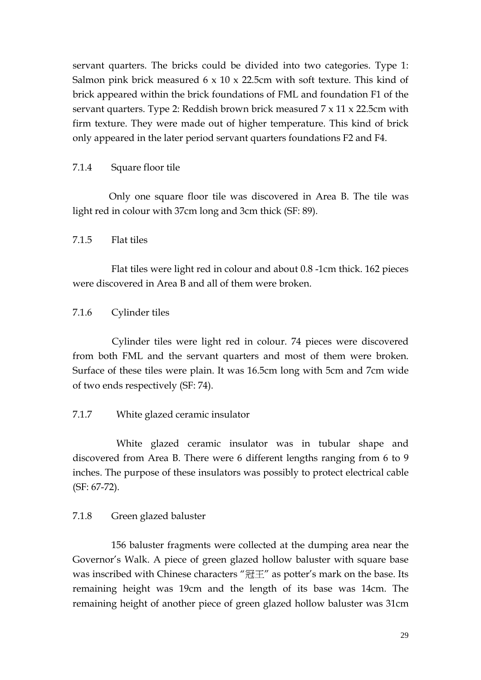servant quarters. The bricks could be divided into two categories. Type 1: Salmon pink brick measured  $6 \times 10 \times 22.5$ cm with soft texture. This kind of brick appeared within the brick foundations of FML and foundation F1 of the servant quarters. Type 2: Reddish brown brick measured 7 x 11 x 22.5cm with firm texture. They were made out of higher temperature. This kind of brick only appeared in the later period servant quarters foundations F2 and F4.

7.1.4 Square floor tile

Only one square floor tile was discovered in Area B. The tile was light red in colour with 37cm long and 3cm thick (SF: 89).

7.1.5 Flat tiles

Flat tiles were light red in colour and about 0.8 -1cm thick. 162 pieces were discovered in Area B and all of them were broken.

7.1.6 Cylinder tiles

Cylinder tiles were light red in colour. 74 pieces were discovered from both FML and the servant quarters and most of them were broken. Surface of these tiles were plain. It was 16.5cm long with 5cm and 7cm wide of two ends respectively (SF: 74).

7.1.7 White glazed ceramic insulator

White glazed ceramic insulator was in tubular shape and discovered from Area B. There were 6 different lengths ranging from 6 to 9 inches. The purpose of these insulators was possibly to protect electrical cable (SF: 67-72).

7.1.8 Green glazed baluster

156 baluster fragments were collected at the dumping area near the Governor's Walk. A piece of green glazed hollow baluster with square base was inscribed with Chinese characters "冠王" as potter's mark on the base. Its remaining height was 19cm and the length of its base was 14cm. The remaining height of another piece of green glazed hollow baluster was 31cm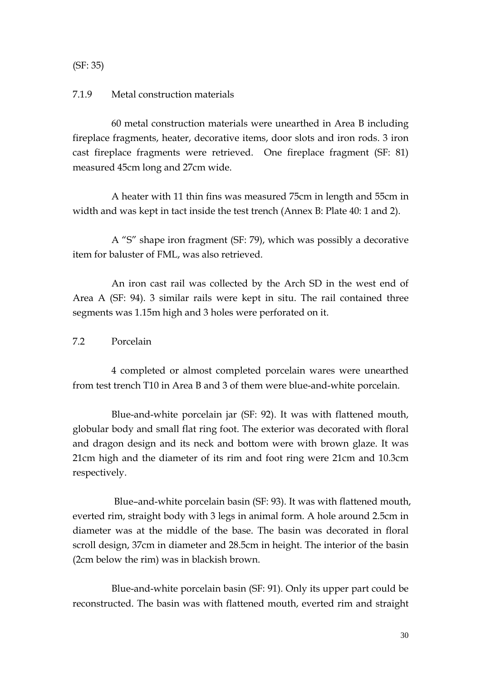(SF: 35)

#### 7.1.9 Metal construction materials

60 metal construction materials were unearthed in Area B including fireplace fragments, heater, decorative items, door slots and iron rods. 3 iron cast fireplace fragments were retrieved. One fireplace fragment (SF: 81) measured 45cm long and 27cm wide.

A heater with 11 thin fins was measured 75cm in length and 55cm in width and was kept in tact inside the test trench (Annex B: Plate 40: 1 and 2).

A "S" shape iron fragment (SF: 79), which was possibly a decorative item for baluster of FML, was also retrieved.

An iron cast rail was collected by the Arch SD in the west end of Area A (SF: 94). 3 similar rails were kept in situ. The rail contained three segments was 1.15m high and 3 holes were perforated on it.

#### 7.2 Porcelain

4 completed or almost completed porcelain wares were unearthed from test trench T10 in Area B and 3 of them were blue-and-white porcelain.

Blue-and-white porcelain jar (SF: 92). It was with flattened mouth, globular body and small flat ring foot. The exterior was decorated with floral and dragon design and its neck and bottom were with brown glaze. It was 21cm high and the diameter of its rim and foot ring were 21cm and 10.3cm respectively.

Blue–and-white porcelain basin (SF: 93). It was with flattened mouth, everted rim, straight body with 3 legs in animal form. A hole around 2.5cm in diameter was at the middle of the base. The basin was decorated in floral scroll design, 37cm in diameter and 28.5cm in height. The interior of the basin (2cm below the rim) was in blackish brown.

Blue-and-white porcelain basin (SF: 91). Only its upper part could be reconstructed. The basin was with flattened mouth, everted rim and straight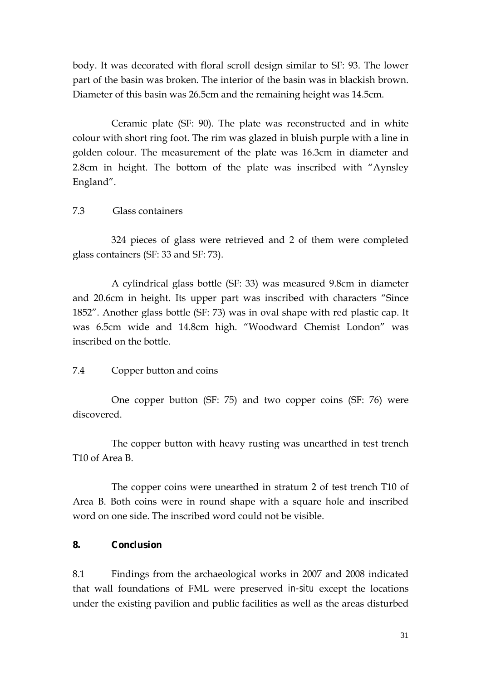body. It was decorated with floral scroll design similar to SF: 93. The lower part of the basin was broken. The interior of the basin was in blackish brown. Diameter of this basin was 26.5cm and the remaining height was 14.5cm.

Ceramic plate (SF: 90). The plate was reconstructed and in white colour with short ring foot. The rim was glazed in bluish purple with a line in golden colour. The measurement of the plate was 16.3cm in diameter and 2.8cm in height. The bottom of the plate was inscribed with "Aynsley England".

#### 7.3 Glass containers

324 pieces of glass were retrieved and 2 of them were completed glass containers (SF: 33 and SF: 73).

A cylindrical glass bottle (SF: 33) was measured 9.8cm in diameter and 20.6cm in height. Its upper part was inscribed with characters "Since 1852". Another glass bottle (SF: 73) was in oval shape with red plastic cap. It was 6.5cm wide and 14.8cm high. "Woodward Chemist London" was inscribed on the bottle.

#### 7.4 Copper button and coins

One copper button (SF: 75) and two copper coins (SF: 76) were discovered.

The copper button with heavy rusting was unearthed in test trench T10 of Area B.

The copper coins were unearthed in stratum 2 of test trench T10 of Area B. Both coins were in round shape with a square hole and inscribed word on one side. The inscribed word could not be visible.

#### **8. Conclusion**

8.1 Findings from the archaeological works in 2007 and 2008 indicated that wall foundations of FML were preserved *in-situ* except the locations under the existing pavilion and public facilities as well as the areas disturbed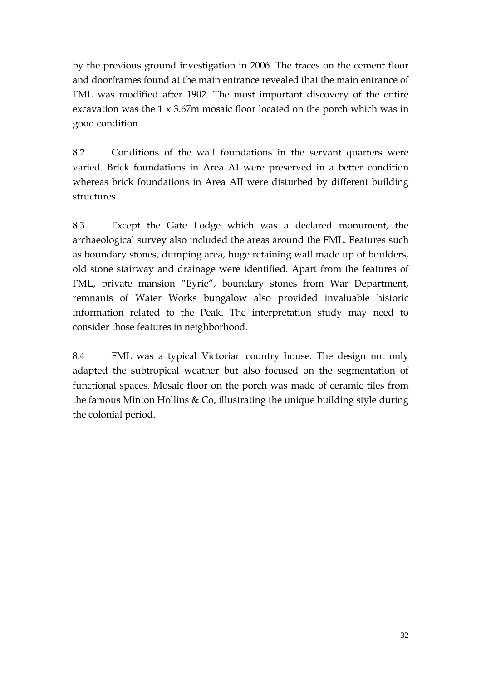by the previous ground investigation in 2006. The traces on the cement floor and doorframes found at the main entrance revealed that the main entrance of FML was modified after 1902. The most important discovery of the entire excavation was the 1 x 3.67m mosaic floor located on the porch which was in good condition.

8.2 Conditions of the wall foundations in the servant quarters were varied. Brick foundations in Area AI were preserved in a better condition whereas brick foundations in Area AII were disturbed by different building structures.

8.3 Except the Gate Lodge which was a declared monument, the archaeological survey also included the areas around the FML. Features such as boundary stones, dumping area, huge retaining wall made up of boulders, old stone stairway and drainage were identified. Apart from the features of FML, private mansion "Eyrie", boundary stones from War Department, remnants of Water Works bungalow also provided invaluable historic information related to the Peak. The interpretation study may need to consider those features in neighborhood.

 8.4 FML was a typical Victorian country house. The design not only adapted the subtropical weather but also focused on the segmentation of functional spaces. Mosaic floor on the porch was made of ceramic tiles from the famous Minton Hollins  $& Co$ , illustrating the unique building style during the colonial period.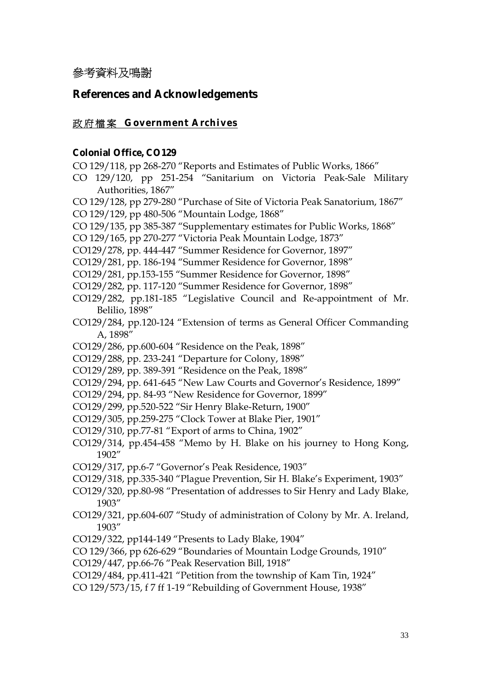# 參考資料及鳴謝

## **References and Acknowledgements**

#### 政府檔案 **Government Archives**

#### **Colonial Office, CO129**

- CO 129/118, pp 268-270 "Reports and Estimates of Public Works, 1866"
- CO 129/120, pp 251-254 "Sanitarium on Victoria Peak-Sale Military Authorities, 1867"
- CO 129/128, pp 279-280 "Purchase of Site of Victoria Peak Sanatorium, 1867"
- CO 129/129, pp 480-506 "Mountain Lodge, 1868"
- CO 129/135, pp 385-387 "Supplementary estimates for Public Works, 1868"
- CO 129/165, pp 270-277 "Victoria Peak Mountain Lodge, 1873"
- CO129/278, pp. 444-447 "Summer Residence for Governor, 1897"
- CO129/281, pp. 186-194 "Summer Residence for Governor, 1898"
- CO129/281, pp.153-155 "Summer Residence for Governor, 1898"
- CO129/282, pp. 117-120 "Summer Residence for Governor, 1898"
- CO129/282, pp.181-185 "Legislative Council and Re-appointment of Mr. Belilio, 1898"
- CO129/284, pp.120-124 "Extension of terms as General Officer Commanding A, 1898"
- CO129/286, pp.600-604 "Residence on the Peak, 1898"
- CO129/288, pp. 233-241 "Departure for Colony, 1898"
- CO129/289, pp. 389-391 "Residence on the Peak, 1898"
- CO129/294, pp. 641-645 "New Law Courts and Governor's Residence, 1899"
- CO129/294, pp. 84-93 "New Residence for Governor, 1899"
- CO129/299, pp.520-522 "Sir Henry Blake-Return, 1900"
- CO129/305, pp.259-275 "Clock Tower at Blake Pier, 1901"
- CO129/310, pp.77-81 "Export of arms to China, 1902"
- CO129/314, pp.454-458 "Memo by H. Blake on his journey to Hong Kong, 1902"
- CO129/317, pp.6-7 "Governor's Peak Residence, 1903"
- CO129/318, pp.335-340 "Plague Prevention, Sir H. Blake's Experiment, 1903"
- CO129/320, pp.80-98 "Presentation of addresses to Sir Henry and Lady Blake, 1903"
- CO129/321, pp.604-607 "Study of administration of Colony by Mr. A. Ireland, 1903"
- CO129/322, pp144-149 "Presents to Lady Blake, 1904"
- CO 129/366, pp 626-629 "Boundaries of Mountain Lodge Grounds, 1910"
- CO129/447, pp.66-76 "Peak Reservation Bill, 1918"
- CO129/484, pp.411-421 "Petition from the township of Kam Tin, 1924"
- CO 129/573/15, f 7 ff 1-19 "Rebuilding of Government House, 1938"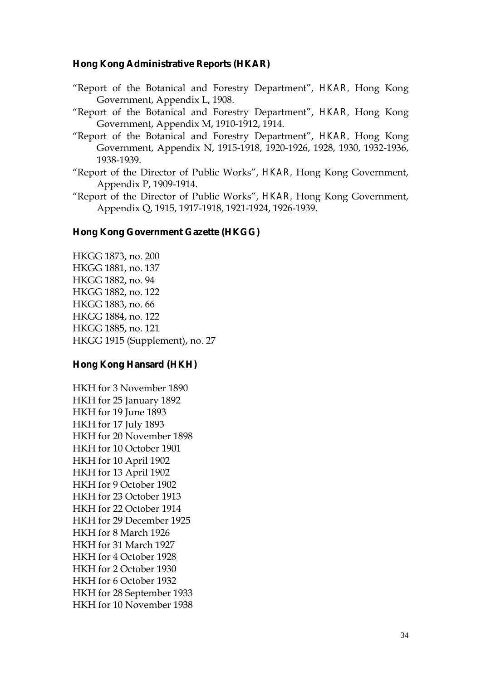#### **Hong Kong Administrative Reports (HKAR)**

- "Report of the Botanical and Forestry Department", *HKAR,* Hong Kong Government, Appendix L, 1908.
- "Report of the Botanical and Forestry Department", *HKAR,* Hong Kong Government, Appendix M, 1910-1912, 1914.
- "Report of the Botanical and Forestry Department", *HKAR,* Hong Kong Government, Appendix N, 1915-1918, 1920-1926, 1928, 1930, 1932-1936, 1938-1939.
- "Report of the Director of Public Works", *HKAR,* Hong Kong Government, Appendix P, 1909-1914.
- "Report of the Director of Public Works", *HKAR,* Hong Kong Government, Appendix Q, 1915, 1917-1918, 1921-1924, 1926-1939.

#### **Hong Kong Government Gazette (HKGG)**

HKGG 1873, no. 200 HKGG 1881, no. 137 HKGG 1882, no. 94 HKGG 1882, no. 122 HKGG 1883, no. 66 HKGG 1884, no. 122 HKGG 1885, no. 121 HKGG 1915 (Supplement), no. 27

#### **Hong Kong Hansard (HKH)**

HKH for 3 November 1890 HKH for 25 January 1892 HKH for 19 June 1893 HKH for 17 July 1893 HKH for 20 November 1898 HKH for 10 October 1901 HKH for 10 April 1902 HKH for 13 April 1902 HKH for 9 October 1902 HKH for 23 October 1913 HKH for 22 October 1914 HKH for 29 December 1925 HKH for 8 March 1926 HKH for 31 March 1927 HKH for 4 October 1928 HKH for 2 October 1930 HKH for 6 October 1932 HKH for 28 September 1933 HKH for 10 November 1938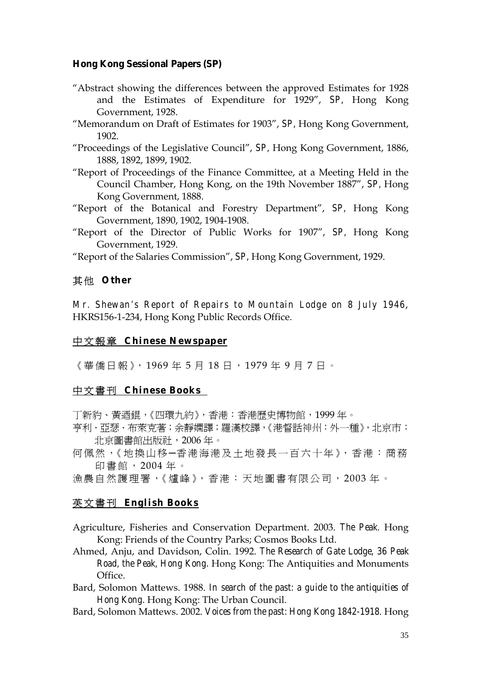#### **Hong Kong Sessional Papers (SP)**

- "Abstract showing the differences between the approved Estimates for 1928 and the Estimates of Expenditure for 1929", *SP,* Hong Kong Government, 1928.
- "Memorandum on Draft of Estimates for 1903", *SP,* Hong Kong Government, 1902.
- "Proceedings of the Legislative Council", *SP,* Hong Kong Government, 1886, 1888, 1892, 1899, 1902.
- "Report of Proceedings of the Finance Committee, at a Meeting Held in the Council Chamber, Hong Kong, on the 19th November 1887", *SP,* Hong Kong Government, 1888.
- "Report of the Botanical and Forestry Department", *SP,* Hong Kong Government, 1890, 1902, 1904-1908.
- "Report of the Director of Public Works for 1907", *SP,* Hong Kong Government, 1929.

"Report of the Salaries Commission", *SP,* Hong Kong Government, 1929.

## 其 他 **Other**

*Mr. Shewan's Report of Repairs to Mountain Lodge on 8 July 1946*, HKRS156-1-234, Hong Kong Public Records Office.

## 中文報章 **Chinese Newspaper**

《華僑日報》, 1969 年 5 月 18 日 , 1979 年 9 月 7 日 。

## 中文書刊 **Chinese Books**

丁新豹、黃迺錕,《四環九約》,香港:香港歷史博物館,1999 年。

- 亨利 ・亞瑟 ・布萊克著;余靜嫻譯;羅漢校譯,《港督話神州:外一種》,北京市: 北京圖書館出版社,2006 年。
- 何佩然,《地換山移-香港海港及土地發長一百六十年》,香港:商務 印書館, 2004 年 。
- 漁農自然護理署,《爐峰》,香港:天地圖書有限公司,2003年。

## 英文書刊 **English Books**

- Agriculture, Fisheries and Conservation Department. 2003. *The Peak*. Hong Kong: Friends of the Country Parks; Cosmos Books Ltd.
- Ahmed, Anju, and Davidson, Colin. 1992. *The Research of Gate Lodge, 36 Peak Road, the Peak, Hong Kong.* Hong Kong: The Antiquities and Monuments Office.
- Bard, Solomon Mattews. 1988. *In search of the past: a guide to the antiquities of Hong Kong.* Hong Kong: The Urban Council.
- Bard, Solomon Mattews. 2002. *Voices from the past: Hong Kong 1842-1918*. Hong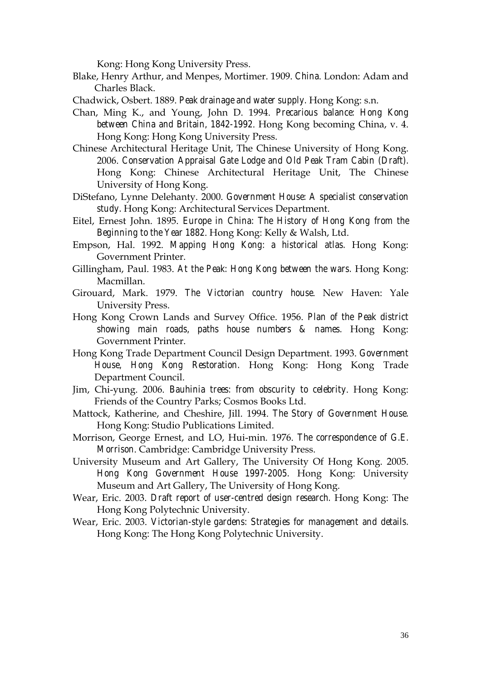Kong: Hong Kong University Press.

- Blake, Henry Arthur, and Menpes, Mortimer. 1909. *China*. London: Adam and Charles Black.
- Chadwick, Osbert. 1889. *Peak drainage and water supply.* Hong Kong: s.n.
- Chan, Ming K., and Young, John D. 1994. *Precarious balance: Hong Kong between China and Britain, 1842-1992*. Hong Kong becoming China, v. 4. Hong Kong: Hong Kong University Press.
- Chinese Architectural Heritage Unit, The Chinese University of Hong Kong. 2006. *Conservation Appraisal Gate Lodge and Old Peak Tram Cabin (Draft).* Hong Kong: Chinese Architectural Heritage Unit, The Chinese University of Hong Kong.
- DiStefano, Lynne Delehanty. 2000. *Government House: A specialist conservation study.* Hong Kong: Architectural Services Department.
- Eitel, Ernest John. 1895. *Europe in China: The History of Hong Kong from the Beginning to the Year 1882*. Hong Kong: Kelly & Walsh, Ltd.
- Empson, Hal. 1992. *Mapping Hong Kong: a historical atlas.* Hong Kong: Government Printer.
- Gillingham, Paul. 1983. *At the Peak: Hong Kong between the wars.* Hong Kong: Macmillan.
- Girouard, Mark. 1979. *The Victorian country house*. New Haven: Yale University Press.
- Hong Kong Crown Lands and Survey Office. 1956. *Plan of the Peak district showing main roads, paths house numbers & names.* Hong Kong: Government Printer.
- Hong Kong Trade Department Council Design Department. 1993. *Government House, Hong Kong Restoration.* Hong Kong: Hong Kong Trade Department Council.
- Jim, Chi-yung. 2006. *Bauhinia trees: from obscurity to celebrity*. Hong Kong: Friends of the Country Parks; Cosmos Books Ltd.
- Mattock, Katherine, and Cheshire, Jill. 1994. *The Story of Government House.*  Hong Kong: Studio Publications Limited.
- Morrison, George Ernest, and LO, Hui-min. 1976. *The correspondence of G.E. Morrison*. Cambridge: Cambridge University Press.
- University Museum and Art Gallery, The University Of Hong Kong. 2005. *Hong Kong Government House 1997-2005.* Hong Kong: University Museum and Art Gallery, The University of Hong Kong.
- Wear, Eric. 2003. *Draft report of user-centred design research.* Hong Kong: The Hong Kong Polytechnic University.
- Wear, Eric. 2003. *Victorian-style gardens: Strategies for management and details.*  Hong Kong: The Hong Kong Polytechnic University.